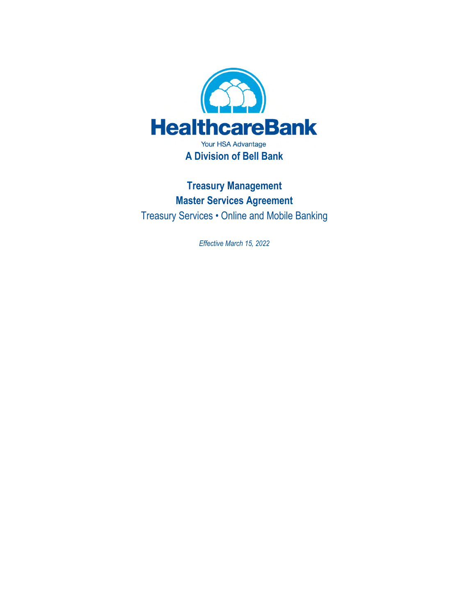

**Treasury Management Master Services Agreement**  Treasury Services • Online and Mobile Banking

*Effective March 15, 2022*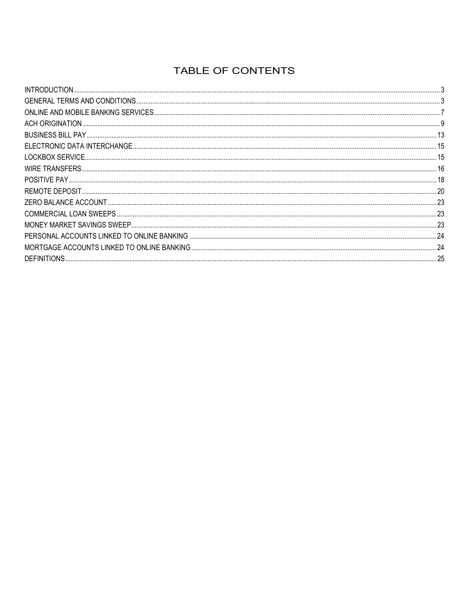# TABLE OF CONTENTS

| 16 |
|----|
|    |
| 20 |
|    |
|    |
|    |
| 24 |
|    |
|    |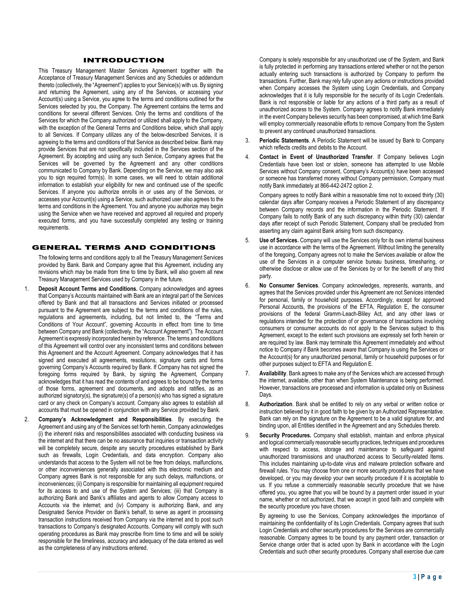# INTRODUCTION

This Treasury Management Master Services Agreement together with the Acceptance of Treasury Management Services and any Schedules or addendum thereto (collectively, the "Agreement") applies to your Service(s) with us. By signing and returning the Agreement, using any of the Services, or accessing your Account(s) using a Service, you agree to the terms and conditions outlined for the Services selected by you, the Company. The Agreement contains the terms and conditions for several different Services. Only the terms and conditions of the Services for which the Company authorized or utilized shall apply to the Company, with the exception of the General Terms and Conditions below, which shall apply to all Services. If Company utilizes any of the below-described Services, it is agreeing to the terms and conditions of that Service as described below. Bank may provide Services that are not specifically included in the Services section of the Agreement. By accepting and using any such Service, Company agrees that the Services will be governed by the Agreement and any other conditions communicated to Company by Bank. Depending on the Service, we may also ask you to sign required form(s). In some cases, we will need to obtain additional information to establish your eligibility for new and continued use of the specific Services. If anyone you authorize enrolls in or uses any of the Services, or accesses your Account(s) using a Service, such authorized user also agrees to the terms and conditions in the Agreement. You and anyone you authorize may begin using the Service when we have received and approved all required and properly executed forms, and you have successfully completed any testing or training requirements.

## GENERAL TERMS AND CONDITIONS

The following terms and conditions apply to all the Treasury Management Services provided by Bank. Bank and Company agree that this Agreement, including any revisions which may be made from time to time by Bank, will also govern all new Treasury Management Services used by Company in the future.

- 1. **Deposit Account Terms and Conditions.** Company acknowledges and agrees that Company's Accounts maintained with Bank are an integral part of the Services offered by Bank and that all transactions and Services initiated or processed pursuant to the Agreement are subject to the terms and conditions of the rules, regulations and agreements, including, but not limited to, the "Terms and Conditions of Your Account", governing Accounts in effect from time to time between Company and Bank (collectively, the "Account Agreement"). The Account Agreement is expressly incorporated herein by reference. The terms and conditions of this Agreement will control over any inconsistent terms and conditions between this Agreement and the Account Agreement. Company acknowledges that it has signed and executed all agreements, resolutions, signature cards and forms governing Company's Accounts required by Bank. If Company has not signed the foregoing forms required by Bank, by signing the Agreement, Company acknowledges that it has read the contents of and agrees to be bound by the terms of those forms, agreement and documents, and adopts and ratifies, as an authorized signatory(s), the signature(s) of a person(s) who has signed a signature card or any check on Company's account. Company also agrees to establish all accounts that must be opened in conjunction with any Service provided by Bank.
- 2. **Company's Acknowledgment and Responsibilities**. By executing the Agreement and using any of the Services set forth herein, Company acknowledges (i) the inherent risks and responsibilities associated with conducting business via the internet and that there can be no assurance that inquiries or transaction activity will be completely secure, despite any security procedures established by Bank such as firewalls, Login Credentials, and data encryption. Company also understands that access to the System will not be free from delays, malfunctions, or other inconveniences generally associated with this electronic medium and Company agrees Bank is not responsible for any such delays, malfunctions, or inconveniences; (ii) Company is responsible for maintaining all equipment required for its access to and use of the System and Services; (iii) that Company is authorizing Bank and Bank's affiliates and agents to allow Company access to Accounts via the internet; and (iv) Company is authorizing Bank, and any Designated Service Provider on Bank's behalf, to serve as agent in processing transaction instructions received from Company via the internet and to post such transactions to Company's designated Accounts. Company will comply with such operating procedures as Bank may prescribe from time to time and will be solely responsible for the timeliness, accuracy and adequacy of the data entered as well as the completeness of any instructions entered.

Company is solely responsible for any unauthorized use of the System, and Bank is fully protected in performing any transactions entered whether or not the person actually entering such transactions is authorized by Company to perform the transactions. Further, Bank may rely fully upon any actions or instructions provided when Company accesses the System using Login Credentials, and Company acknowledges that it is fully responsible for the security of its Login Credentials. Bank is not responsible or liable for any actions of a third party as a result of unauthorized access to the System. Company agrees to notify Bank immediately in the event Company believes security has been compromised, at which time Bank will employ commercially reasonable efforts to remove Company from the System to prevent any continued unauthorized transactions.

- 3. **Periodic Statements**. A Periodic Statement will be issued by Bank to Company which reflects credits and debits to the Account.
- 4. **Contact in Event of Unauthorized Transfer**. If Company believes Login Credentials have been lost or stolen, someone has attempted to use Mobile Services without Company consent, Company's Account(s) have been accessed or someone has transferred money without Company permission, Company must notify Bank immediately at 866-442-2472 option 2.

Company agrees to notify Bank within a reasonable time not to exceed thirty (30) calendar days after Company receives a Periodic Statement of any discrepancy between Company records and the information in the Periodic Statement. If Company fails to notify Bank of any such discrepancy within thirty (30) calendar days after receipt of such Periodic Statement, Company shall be precluded from asserting any claim against Bank arising from such discrepancy.

- 5. **Use of Services.** Company will use the Services only for its own internal business use in accordance with the terms of the Agreement. Without limiting the generality of the foregoing, Company agrees not to make the Services available or allow the use of the Services in a computer service bureau business, timesharing, or otherwise disclose or allow use of the Services by or for the benefit of any third party.
- 6. **No Consumer Services**. Company acknowledges, represents, warrants, and agrees that the Services provided under this Agreement are not Services intended for personal, family or household purposes. Accordingly, except for approved Personal Accounts, the provisions of the EFTA, Regulation E, the consumer provisions of the federal Gramm-Leach-Bliley Act, and any other laws or regulations intended for the protection of or governance of transactions involving consumers or consumer accounts do not apply to the Services subject to this Agreement, except to the extent such provisions are expressly set forth herein or are required by law. Bank may terminate this Agreement immediately and without notice to Company if Bank becomes aware that Company is using the Services or the Account(s) for any unauthorized personal, family or household purposes or for other purposes subject to EFTA and Regulation E.
- 7. **Availability**. Bank agrees to make any of the Services which are accessed through the internet, available, other than when System Maintenance is being performed. However, transactions are processed and information is updated only on Business Days.
- 8. **Authorization**. Bank shall be entitled to rely on any verbal or written notice or instruction believed by it in good faith to be given by an Authorized Representative. Bank can rely on the signature on the Agreement to be a valid signature for, and binding upon, all Entities identified in the Agreement and any Schedules thereto.
- 9. **Security Procedures.** Company shall establish, maintain and enforce physical and logical commercially reasonable security practices, techniques and procedures with respect to access, storage and maintenance to safeguard against unauthorized transmissions and unauthorized access to Security-related Items. This includes maintaining up-to-date virus and malware protection software and firewall rules. You may choose from one or more security procedures that we have developed, or you may develop your own security procedure if it is acceptable to us. If you refuse a commercially reasonable security procedure that we have offered you, you agree that you will be bound by a payment order issued in your name, whether or not authorized, that we accept in good faith and complete with the security procedure you have chosen.

By agreeing to use the Services, Company acknowledges the importance of maintaining the confidentiality of its Login Credentials. Company agrees that such Login Credentials and other security procedures for the Services are commercially reasonable. Company agrees to be bound by any payment order, transaction or Service change order that is acted upon by Bank in accordance with the Login Credentials and such other security procedures. Company shall exercise due care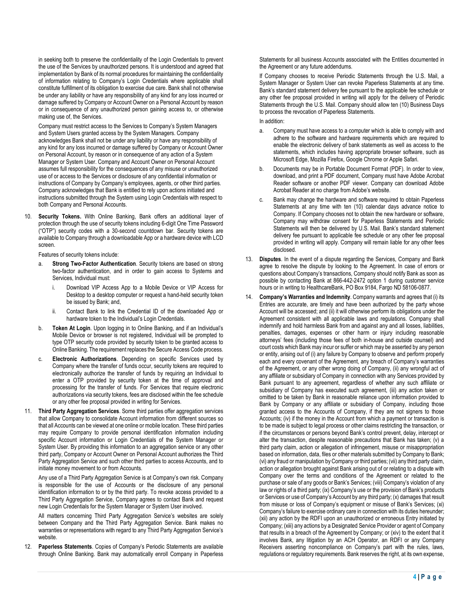in seeking both to preserve the confidentiality of the Login Credentials to prevent the use of the Services by unauthorized persons. It is understood and agreed that implementation by Bank of its normal procedures for maintaining the confidentiality of information relating to Company's Login Credentials where applicable shall constitute fulfillment of its obligation to exercise due care. Bank shall not otherwise be under any liability or have any responsibility of any kind for any loss incurred or damage suffered by Company or Account Owner on a Personal Account by reason or in consequence of any unauthorized person gaining access to, or otherwise making use of, the Services.

Company must restrict access to the Services to Company's System Managers and System Users granted access by the System Managers. Company acknowledges Bank shall not be under any liability or have any responsibility of any kind for any loss incurred or damage suffered by Company or Account Owner on Personal Account, by reason or in consequence of any action of a System Manager or System User. Company and Account Owner on Personal Account assumes full responsibility for the consequences of any misuse or unauthorized use of or access to the Services or disclosure of any confidential information or instructions of Company by Company's employees, agents, or other third parties. Company acknowledges that Bank is entitled to rely upon actions initiated and instructions submitted through the System using Login Credentials with respect to both Company and Personal Accounts.

10. **Security Tokens.** With Online Banking, Bank offers an additional layer of protection through the use of security tokens including 6-digit One Time Password ("OTP") security codes with a 30-second countdown bar. Security tokens are available to Company through a downloadable App or a hardware device with LCD screen.

Features of security tokens include:

- a. **Strong Two-Factor Authentication**. Security tokens are based on strong two-factor authentication, and in order to gain access to Systems and Services, Individual must:
	- Download VIP Access App to a Mobile Device or VIP Access for Desktop to a desktop computer or request a hand-held security token be issued by Bank; and,
	- ii. Contact Bank to link the Credential ID of the downloaded App or hardware token to the Individual's Login Credentials.
- b. **Token At Login**. Upon logging in to Online Banking, and if an Individual's Mobile Device or browser is not registered, Individual will be prompted to type OTP security code provided by security token to be granted access to Online Banking. The requirement replaces the Secure Access Code process.
- c. **Electronic Authorizations**. Depending on specific Services used by Company where the transfer of funds occur, security tokens are required to electronically authorize the transfer of funds by requiring an Individual to enter a OTP provided by security token at the time of approval and processing for the transfer of funds. For Services that require electronic authorizations via security tokens, fees are disclosed within the fee schedule or any other fee proposal provided in writing for Services.
- 11. **Third Party Aggregation Services**. Some third parties offer aggregation services that allow Company to consolidate Account information from different sources so that all Accounts can be viewed at one online or mobile location. These third parties may require Company to provide personal identification information including specific Account information or Login Credentials of the System Manager or System User. By providing this information to an aggregation service or any other third party, Company or Account Owner on Personal Account authorizes the Third Party Aggregation Service and such other third parties to access Accounts, and to initiate money movement to or from Accounts.

Any use of a Third Party Aggregation Service is at Company's own risk. Company is responsible for the use of Accounts or the disclosure of any personal identification information to or by the third party. To revoke access provided to a Third Party Aggregation Service, Company agrees to contact Bank and request new Login Credentials for the System Manager or System User involved.

All matters concerning Third Party Aggregation Service's websites are solely between Company and the Third Party Aggregation Service. Bank makes no warranties or representations with regard to any Third Party Aggregation Service's website.

12. **Paperless Statements**. Copies of Company's Periodic Statements are available through Online Banking. Bank may automatically enroll Company in Paperless Statements for all business Accounts associated with the Entities documented in the Agreement or any future addendums.

If Company chooses to receive Periodic Statements through the U.S. Mail, a System Manager or System User can revoke Paperless Statements at any time. Bank's standard statement delivery fee pursuant to the applicable fee schedule or any other fee proposal provided in writing will apply for the delivery of Periodic Statements through the U.S. Mail. Company should allow ten (10) Business Days to process the revocation of Paperless Statements.

In addition:

- Company must have access to a computer which is able to comply with and adhere to the software and hardware requirements which are required to enable the electronic delivery of bank statements as well as access to the statements, which includes having appropriate browser software, such as Microsoft Edge, Mozilla Firefox, Google Chrome or Apple Safari.
- b. Documents may be in Portable Document Format (PDF). In order to view, download, and print a PDF document, Company must have Adobe Acrobat Reader software or another PDF viewer. Company can download Adobe Acrobat Reader at no charge from Adobe's website.
- c. Bank may change the hardware and software required to obtain Paperless Statements at any time with ten (10) calendar days advance notice to Company. If Company chooses not to obtain the new hardware or software, Company may withdraw consent for Paperless Statements and Periodic Statements will then be delivered by U.S. Mail. Bank's standard statement delivery fee pursuant to applicable fee schedule or any other fee proposal provided in writing will apply. Company will remain liable for any other fees disclosed.
- 13. **Disputes**. In the event of a dispute regarding the Services, Company and Bank agree to resolve the dispute by looking to the Agreement. In case of errors or questions about Company's transactions, Company should notify Bank as soon as possible by contacting Bank at 866-442-2472 option 1 during customer service hours or in writing to HealthcareBank, PO Box 9184, Fargo ND 58106-0877.
- 14. **Company's Warranties and Indemnity**. Company warrants and agrees that (i) its Entries are accurate, are timely and have been authorized by the party whose Account will be accessed; and (ii) it will otherwise perform its obligations under the Agreement consistent with all applicable laws and regulations. Company shall indemnify and hold harmless Bank from and against any and all losses, liabilities, penalties, damages, expenses or other harm or injury including reasonable attorneys' fees (including those fees of both in-house and outside counsel) and court costs which Bank may incur or suffer or which may be asserted by any person or entity, arising out of (i) any failure by Company to observe and perform properly each and every covenant of the Agreement, any breach of Company's warranties of the Agreement, or any other wrong doing of Company, (ii) any wrongful act of any affiliate or subsidiary of Company in connection with any Services provided by Bank pursuant to any agreement, regardless of whether any such affiliate or subsidiary of Company has executed such agreement, (iii) any action taken or omitted to be taken by Bank in reasonable reliance upon information provided to Bank by Company or any affiliate or subsidiary of Company, including those granted access to the Accounts of Company, if they are not signers to those Accounts; (iv) if the money in the Account from which a payment or transaction is to be made is subject to legal process or other claims restricting the transaction, or if the circumstances or persons beyond Bank's control prevent, delay, intercept or alter the transaction, despite reasonable precautions that Bank has taken; (v) a third party claim, action or allegation of infringement, misuse or misappropriation based on information, data, files or other materials submitted by Company to Bank; (vi) any fraud or manipulation by Company or third parties; (vii) any third party claim, action or allegation brought against Bank arising out of or relating to a dispute with Company over the terms and conditions of the Agreement or related to the purchase or sale of any goods or Bank's Services; (viii) Company's violation of any law or rights of a third party; (ix) Company's use or the provision of Bank's products or Services or use of Company's Account by any third party; (x) damages that result from misuse or loss of Company's equipment or misuse of Bank's Services; (xi) Company's failure to exercise ordinary care in connection with its duties hereunder; (xii) any action by the RDFI upon an unauthorized or erroneous Entry initiated by Company; (xiii) any actions by a Designated Service Provider or agent of Company that results in a breach of the Agreement by Company; or (xiv) to the extent that it involves Bank, any litigation by an ACH Operator, an RDFI or any Company Receivers asserting noncompliance on Company's part with the rules, laws, regulations or regulatory requirements. Bank reserves the right, at its own expense,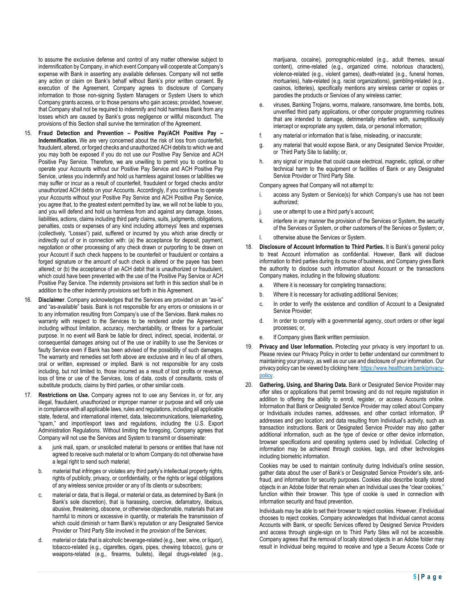to assume the exclusive defense and control of any matter otherwise subject to indemnification by Company, in which event Company will cooperate at Company's expense with Bank in asserting any available defenses. Company will not settle any action or claim on Bank's behalf without Bank's prior written consent. By execution of the Agreement, Company agrees to disclosure of Company information to those non-signing System Managers or System Users to which Company grants access, or to those persons who gain access; provided, however, that Company shall not be required to indemnify and hold harmless Bank from any losses which are caused by Bank's gross negligence or willful misconduct. The provisions of this Section shall survive the termination of the Agreement.

- 15. **Fraud Detection and Prevention Positive Pay/ACH Positive Pay Indemnification.** We are very concerned about the risk of loss from counterfeit, fraudulent, altered, or forged checks and unauthorized ACH debits to which we and you may both be exposed if you do not use our Positive Pay Service and ACH Positive Pay Service. Therefore, we are unwilling to permit you to continue to operate your Accounts without our Positive Pay Service and ACH Positive Pay Service, unless you indemnify and hold us harmless against losses or labilities we may suffer or incur as a result of counterfeit, fraudulent or forged checks and/or unauthorized ACH debts on your Accounts. Accordingly, if you continue to operate your Accounts without your Positive Pay Service and ACH Positive Pay Service, you agree that, to the greatest extent permitted by law, we will not be liable to you, and you will defend and hold us harmless from and against any damage, losses, liabilities, actions, claims including third party claims, suits, judgments, obligations, penalties, costs or expenses of any kind including attorneys' fees and expenses (collectively, "Losses") paid, suffered or incurred by you which arise directly or indirectly out of or in connection with: (a) the acceptance for deposit, payment, negotiation or other processing of any check drawn or purporting to be drawn on your Account if such check happens to be counterfeit or fraudulent or contains a forged signature or the amount of such check is altered or the payee has been altered; or (b) the acceptance of an ACH debit that is unauthorized or fraudulent, which could have been prevented with the use of the Positive Pay Service or ACH Positive Pay Service. The indemnity provisions set forth in this section shall be in addition to the other indemnity provisions set forth in this Agreement.
- Disclaimer. Company acknowledges that the Services are provided on an "as-is" and "as-available" basis. Bank is not responsible for any errors or omissions in or to any information resulting from Company's use of the Services. Bank makes no warranty with respect to the Services to be rendered under the Agreement, including without limitation, accuracy, merchantability, or fitness for a particular purpose. In no event will Bank be liable for direct, indirect, special, incidental, or consequential damages arising out of the use or inability to use the Services or faulty Service even if Bank has been advised of the possibility of such damages. The warranty and remedies set forth above are exclusive and in lieu of all others, oral or written, expressed or implied. Bank is not responsible for any costs including, but not limited to, those incurred as a result of lost profits or revenue, loss of time or use of the Services, loss of data, costs of consultants, costs of substitute products, claims by third parties, or other similar costs.
- 17. **Restrictions on Use.** Company agrees not to use any Services in, or for, any illegal, fraudulent, unauthorized or improper manner or purpose and will only use in compliance with all applicable laws, rules and regulations, including all applicable state, federal, and international internet, data, telecommunications, telemarketing, "spam," and import/export laws and regulations, including the U.S. Export Administration Regulations. Without limiting the foregoing, Company agrees that Company will not use the Services and System to transmit or disseminate:
	- a. junk mail, spam, or unsolicited material to persons or entities that have not agreed to receive such material or to whom Company do not otherwise have a legal right to send such material;
	- b. material that infringes or violates any third party's intellectual property rights, rights of publicity, privacy, or confidentiality, or the rights or legal obligations of any wireless service provider or any of its clients or subscribers;
	- c. material or data, that is illegal, or material or data, as determined by Bank (in Bank's sole discretion), that is harassing, coercive, defamatory, libelous, abusive, threatening, obscene, or otherwise objectionable, materials that are harmful to minors or excessive in quantity, or materials the transmission of which could diminish or harm Bank's reputation or any Designated Service Provider or Third Party Site involved in the provision of the Services;
	- material or data that is alcoholic beverage-related (e.g., beer, wine, or liquor), tobacco-related (e.g., cigarettes, cigars, pipes, chewing tobacco), guns or weapons-related (e.g., firearms, bullets), illegal drugs-related (e.g.,

marijuana, cocaine), pornographic-related (e.g., adult themes, sexual content), crime-related (e.g., organized crime, notorious characters), violence-related (e.g., violent games), death-related (e.g., funeral homes, mortuaries), hate-related (e.g. racist organizations), gambling-related (e.g., casinos, lotteries), specifically mentions any wireless carrier or copies or parodies the products or Services of any wireless carrier;

- viruses, Banking Trojans, worms, malware, ransomware, time bombs, bots, unverified third party applications, or other computer programming routines that are intended to damage, detrimentally interfere with, surreptitiously intercept or expropriate any system, data, or personal information;
- f. any material or information that is false, misleading, or inaccurate;
- g. any material that would expose Bank, or any Designated Service Provider, or Third Party Site to liability; or,
- h. any signal or impulse that could cause electrical, magnetic, optical, or other technical harm to the equipment or facilities of Bank or any Designated Service Provider or Third Party Site.

Company agrees that Company will not attempt to:

- access any System or Service(s) for which Company's use has not been authorized;
- j. use or attempt to use a third party's account;
- k. interfere in any manner the provision of the Services or System, the security of the Services or System, or other customers of the Services or System; or,
- l. otherwise abuse the Services or System.
- 18. **Disclosure of Account Information to Third Parties.** It is Bank's general policy to treat Account information as confidential. However, Bank will disclose information to third parties during its course of business, and Company gives Bank the authority to disclose such information about Account or the transactions Company makes, including in the following situations:
	- a. Where it is necessary for completing transactions;
	- b. Where it is necessary for activating additional Services;
	- c. In order to verify the existence and condition of Account to a Designated Service Provider;
	- d. In order to comply with a governmental agency, court orders or other legal processes; or,
	- e. If Company gives Bank written permission.
- 19. **Privacy and User Information.** Protecting your privacy is very important to us. Please review our Privacy Policy in order to better understand our commitment to maintaining your privacy, as well as our use and disclosure of your information. Our privacy policy can be viewed by clicking here: https://www.healthcare.bank/privacypolicy.
- 20. **Gathering, Using, and Sharing Data.** Bank or Designated Service Provider may offer sites or applications that permit browsing and do not require registration in addition to offering the ability to enroll, register, or access Accounts online. Information that Bank or Designated Service Provider may collect about Company or Individuals includes names, addresses, and other contact information, IP addresses and geo location; and data resulting from Individual's activity, such as transaction instructions. Bank or Designated Service Provider may also gather additional information, such as the type of device or other device information, browser specifications and operating systems used by Individual. Collecting of information may be achieved through cookies, tags, and other technologies including biometric information.

Cookies may be used to maintain continuity during Individual's online session, gather data about the user of Bank's or Designated Service Provider's site, antifraud, and information for security purposes. Cookies also describe locally stored objects in an Adobe folder that remain when an Individual uses the "clear cookies," function within their browser. This type of cookie is used in connection with information security and fraud prevention.

Individuals may be able to set their browser to reject cookies. However, if Individual chooses to reject cookies, Company acknowledges that Individual cannot access Accounts with Bank, or specific Services offered by Designed Service Providers and access through single-sign on to Third Party Sites will not be accessible. Company agrees that the removal of locally stored objects in an Adobe folder may result in Individual being required to receive and type a Secure Access Code or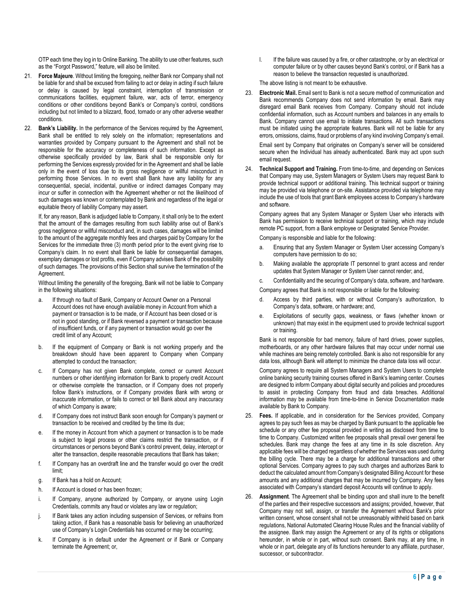OTP each time they log in to Online Banking. The ability to use other features, such as the "Forgot Password," feature, will also be limited.

- 21. **Force Majeure**. Without limiting the foregoing, neither Bank nor Company shall not be liable for and shall be excused from failing to act or delay in acting if such failure or delay is caused by legal constraint, interruption of transmission or communications facilities, equipment failure, war, acts of terror, emergency conditions or other conditions beyond Bank's or Company's control, conditions including but not limited to a blizzard, flood, tornado or any other adverse weather conditions.
- 22. **Bank's Liability.** In the performance of the Services required by the Agreement, Bank shall be entitled to rely solely on the information; representations and warranties provided by Company pursuant to the Agreement and shall not be responsible for the accuracy or completeness of such information. Except as otherwise specifically provided by law, Bank shall be responsible only for performing the Services expressly provided for in the Agreement and shall be liable only in the event of loss due to its gross negligence or willful misconduct in performing those Services. In no event shall Bank have any liability for any consequential, special, incidental, punitive or indirect damages Company may incur or suffer in connection with the Agreement whether or not the likelihood of such damages was known or contemplated by Bank and regardless of the legal or equitable theory of liability Company may assert.

If, for any reason, Bank is adjudged liable to Company, it shall only be to the extent that the amount of the damages resulting from such liability arise out of Bank's gross negligence or willful misconduct and, in such cases, damages will be limited to the amount of the aggregate monthly fees and charges paid by Company for the Services for the immediate three (3) month period prior to the event giving rise to Company's claim. In no event shall Bank be liable for consequential damages, exemplary damages or lost profits, even if Company advises Bank of the possibility of such damages. The provisions of this Section shall survive the termination of the Agreement.

Without limiting the generality of the foregoing, Bank will not be liable to Company in the following situations:

- a. If through no fault of Bank, Company or Account Owner on a Personal Account does not have enough available money in Account from which a payment or transaction is to be made, or if Account has been closed or is not in good standing, or if Bank reversed a payment or transaction because of insufficient funds, or if any payment or transaction would go over the credit limit of any Account;
- b. If the equipment of Company or Bank is not working properly and the breakdown should have been apparent to Company when Company attempted to conduct the transaction;
- c. If Company has not given Bank complete, correct or current Account numbers or other identifying information for Bank to properly credit Account or otherwise complete the transaction, or if Company does not properly follow Bank's instructions, or if Company provides Bank with wrong or inaccurate information, or fails to correct or tell Bank about any inaccuracy of which Company is aware;
- d. If Company does not instruct Bank soon enough for Company's payment or transaction to be received and credited by the time its due;
- e. If the money in Account from which a payment or transaction is to be made is subject to legal process or other claims restrict the transaction, or if circumstances or persons beyond Bank's control prevent, delay, intercept or alter the transaction, despite reasonable precautions that Bank has taken;
- f. If Company has an overdraft line and the transfer would go over the credit limit;
- g. If Bank has a hold on Account;
- h. If Account is closed or has been frozen;
- i. If Company, anyone authorized by Company, or anyone using Login Credentials, commits any fraud or violates any law or regulation;
- j. If Bank takes any action including suspension of Services, or refrains from taking action, if Bank has a reasonable basis for believing an unauthorized use of Company's Login Credentials has occurred or may be occurring;
- k. If Company is in default under the Agreement or if Bank or Company terminate the Agreement; or,

I. If the failure was caused by a fire, or other catastrophe, or by an electrical or computer failure or by other causes beyond Bank's control, or if Bank has a reason to believe the transaction requested is unauthorized.

The above listing is not meant to be exhaustive.

23. **Electronic Mail.** Email sent to Bank is not a secure method of communication and Bank recommends Company does not send information by email. Bank may disregard email Bank receives from Company. Company should not include confidential information, such as Account numbers and balances in any emails to Bank. Company cannot use email to initiate transactions. All such transactions must be initiated using the appropriate features. Bank will not be liable for any errors, omissions, claims, fraud or problems of any kind involving Company's email. Email sent by Company that originates on Company's server will be considered

secure when the Individual has already authenticated. Bank may act upon such email request.

24. **Technical Support and Training.** From time-to-time, and depending on Services that Company may use, System Managers or System Users may request Bank to provide technical support or additional training. This technical support or training may be provided via telephone or on-site. Assistance provided via telephone may include the use of tools that grant Bank employees access to Company's hardware and software.

Company agrees that any System Manager or System User who interacts with Bank has permission to receive technical support or training, which may include remote PC support, from a Bank employee or Designated Service Provider.

Company is responsible and liable for the following:

- a. Ensuring that any System Manager or System User accessing Company's computers have permission to do so;
- b. Making available the appropriate IT personnel to grant access and render updates that System Manager or System User cannot render; and,

c. Confidentiality and the securing of Company's data, software, and hardware.

Company agrees that Bank is not responsible or liable for the following:

- d. Access by third parties, with or without Company's authorization, to Company's data, software, or hardware; and,
- Exploitations of security gaps, weakness, or flaws (whether known or unknown) that may exist in the equipment used to provide technical support or training.

Bank is not responsible for bad memory, failure of hard drives, power supplies, motherboards, or any other hardware failures that may occur under normal use while machines are being remotely controlled. Bank is also not responsible for any data loss, although Bank will attempt to minimize the chance data loss will occur.

Company agrees to require all System Managers and System Users to complete online banking security training courses offered in Bank's learning center. Courses are designed to inform Company about digital security and policies and procedures to assist in protecting Company from fraud and data breaches. Additional information may be available from time-to-time in Service Documentation made available by Bank to Company.

- 25. **Fees.** If applicable, and in consideration for the Services provided, Company agrees to pay such fees as may be charged by Bank pursuant to the applicable fee schedule or any other fee proposal provided in writing as disclosed from time to time to Company. Customized written fee proposals shall prevail over general fee schedules. Bank may change the fees at any time in its sole discretion. Any applicable fees will be charged regardless of whether the Services was used during the billing cycle. There may be a charge for additional transactions and other optional Services. Company agrees to pay such charges and authorizes Bank to deduct the calculated amount from Company's designated Billing Account for these amounts and any additional charges that may be incurred by Company. Any fees associated with Company's standard deposit Accounts will continue to apply.
- 26. **Assignment**. The Agreement shall be binding upon and shall inure to the benefit of the parties and their respective successors and assigns; provided, however, that Company may not sell, assign, or transfer the Agreement without Bank's prior written consent, whose consent shall not be unreasonably withheld based on bank regulations, National Automated Clearing House Rules and the financial viability of the assignee. Bank may assign the Agreement or any of its rights or obligations hereunder, in whole or in part, without such consent. Bank may, at any time, in whole or in part, delegate any of its functions hereunder to any affiliate, purchaser, successor, or subcontractor.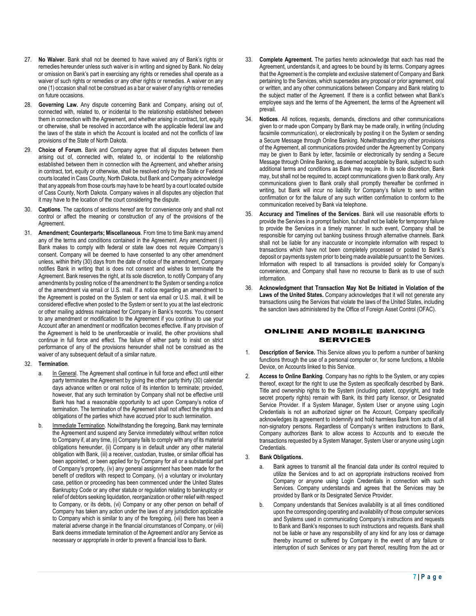- 27. **No Waiver**. Bank shall not be deemed to have waived any of Bank's rights or remedies hereunder unless such waiver is in writing and signed by Bank. No delay or omission on Bank's part in exercising any rights or remedies shall operate as a waiver of such rights or remedies or any other rights or remedies. A waiver on any one (1) occasion shall not be construed as a bar or waiver of any rights or remedies on future occasions.
- 28. **Governing Law.** Any dispute concerning Bank and Company, arising out of, connected with, related to, or incidental to the relationship established between them in connection with the Agreement, and whether arising in contract, tort, equity or otherwise, shall be resolved in accordance with the applicable federal law and the laws of the state in which the Account is located and not the conflicts of law provisions of the State of North Dakota.
- 29. **Choice of Forum.** Bank and Company agree that all disputes between them arising out of, connected with, related to, or incidental to the relationship established between them in connection with the Agreement, and whether arising in contract, tort, equity or otherwise, shall be resolved only by the State or Federal courts located in Cass County, North Dakota, but Bank and Company acknowledge that any appeals from those courts may have to be heard by a court located outside of Cass County, North Dakota. Company waives in all disputes any objection that it may have to the location of the court considering the dispute.
- 30. **Captions**. The captions of sections hereof are for convenience only and shall not control or affect the meaning or construction of any of the provisions of the Agreement.
- 31. **Amendment; Counterparts; Miscellaneous**. From time to time Bank may amend any of the terms and conditions contained in the Agreement. Any amendment (i) Bank makes to comply with federal or state law does not require Company's consent. Company will be deemed to have consented to any other amendment unless, within thirty (30) days from the date of notice of the amendment, Company notifies Bank in writing that is does not consent and wishes to terminate the Agreement. Bank reserves the right, at its sole discretion, to notify Company of any amendments by posting notice of the amendment to the System or sending a notice of the amendment via email or U.S. mail. If a notice regarding an amendment to the Agreement is posted on the System or sent via email or U.S. mail, it will be considered effective when posted to the System or sent to you at the last electronic or other mailing address maintained for Company in Bank's records. You consent to any amendment or modification to the Agreement if you continue to use your Account after an amendment or modification becomes effective. If any provision of the Agreement is held to be unenforceable or invalid, the other provisions shall continue in full force and effect. The failure of either party to insist on strict performance of any of the provisions hereunder shall not be construed as the waiver of any subsequent default of a similar nature.

## 32. **Termination**.

- In General. The Agreement shall continue in full force and effect until either party terminates the Agreement by giving the other party thirty (30) calendar days advance written or oral notice of its intention to terminate; provided, however, that any such termination by Company shall not be effective until Bank has had a reasonable opportunity to act upon Company's notice of termination. The termination of the Agreement shall not affect the rights and obligations of the parties which have accrued prior to such termination.
- Immediate Termination. Notwithstanding the foregoing. Bank may terminate the Agreement and suspend any Service immediately without written notice to Company if, at any time, (i) Company fails to comply with any of its material obligations hereunder, (ii) Company is in default under any other material obligation with Bank, (iii) a receiver, custodian, trustee, or similar official has been appointed, or been applied for by Company for all or a substantial part of Company's property, (iv) any general assignment has been made for the benefit of creditors with respect to Company, (v) a voluntary or involuntary case, petition or proceeding has been commenced under the United States Bankruptcy Code or any other statute or regulation relating to bankruptcy or relief of debtors seeking liquidation, reorganization or other relief with respect to Company, or its debts, (vi) Company or any other person on behalf of Company has taken any action under the laws of any jurisdiction applicable to Company which is similar to any of the foregoing, (vii) there has been a material adverse change in the financial circumstances of Company, or (viii) Bank deems immediate termination of the Agreement and/or any Service as necessary or appropriate in order to prevent a financial loss to Bank.
- 33. **Complete Agreement.** The parties hereto acknowledge that each has read the Agreement, understands it, and agrees to be bound by its terms. Company agrees that the Agreement is the complete and exclusive statement of Company and Bank pertaining to the Services, which supersedes any proposal or prior agreement, oral or written, and any other communications between Company and Bank relating to the subject matter of the Agreement. If there is a conflict between what Bank's employee says and the terms of the Agreement, the terms of the Agreement will prevail.
- 34. **Notices**. All notices, requests, demands, directions and other communications given to or made upon Company by Bank may be made orally, in writing (including facsimile communication), or electronically by posting it on the System or sending a Secure Message through Online Banking. Notwithstanding any other provisions of the Agreement, all communications provided under the Agreement by Company may be given to Bank by letter, facsimile or electronically by sending a Secure Message through Online Banking, as deemed acceptable by Bank, subject to such additional terms and conditions as Bank may require. In its sole discretion, Bank may, but shall not be required to, accept communications given to Bank orally. Any communications given to Bank orally shall promptly thereafter be confirmed in writing, but Bank will incur no liability for Company's failure to send written confirmation or for the failure of any such written confirmation to conform to the communication received by Bank via telephone.
- 35. **Accuracy and Timelines of the Services**. Bank will use reasonable efforts to provide the Services in a prompt fashion, but shall not be liable for temporary failure to provide the Services in a timely manner. In such event, Company shall be responsible for carrying out banking business through alternative channels. Bank shall not be liable for any inaccurate or incomplete information with respect to transactions which have not been completely processed or posted to Bank's deposit or payments system prior to being made available pursuant to the Services. Information with respect to all transactions is provided solely for Company's convenience, and Company shall have no recourse to Bank as to use of such information.
- 36. **Acknowledgment that Transaction May Not Be Initiated in Violation of the Laws of the United States.** Company acknowledges that it will not generate any transactions using the Services that violate the laws of the United States, including the sanction laws administered by the Office of Foreign Asset Control (OFAC).

# ONLINE AND MOBILE BANKING SERVICES

- 1. **Description of Service.** This Service allows you to perform a number of banking functions through the use of a personal computer or, for some functions, a Mobile Device, on Accounts linked to this Service.
- 2. **Access to Online Banking**. Company has no rights to the System, or any copies thereof, except for the right to use the System as specifically described by Bank. Title and ownership rights to the System (including patent, copyright, and trade secret property rights) remain with Bank, its third party licensor, or Designated Service Provider. If a System Manager, System User or anyone using Login Credentials is not an authorized signer on the Account, Company specifically acknowledges its agreement to indemnify and hold harmless Bank from acts of all non-signatory persons. Regardless of Company's written instructions to Bank, Company authorizes Bank to allow access to Accounts and to execute the transactions requested by a System Manager, System User or anyone using Login Credentials.

#### 3. **Bank Obligations.**

- Bank agrees to transmit all the financial data under its control required to utilize the Services and to act on appropriate instructions received from Company or anyone using Login Credentials in connection with such Services. Company understands and agrees that the Services may be provided by Bank or its Designated Service Provider.
- b. Company understands that Services availability is at all times conditioned upon the corresponding operating and availability of those computer services and Systems used in communicating Company's instructions and requests to Bank and Bank's responses to such instructions and requests. Bank shall not be liable or have any responsibility of any kind for any loss or damage thereby incurred or suffered by Company in the event of any failure or interruption of such Services or any part thereof, resulting from the act or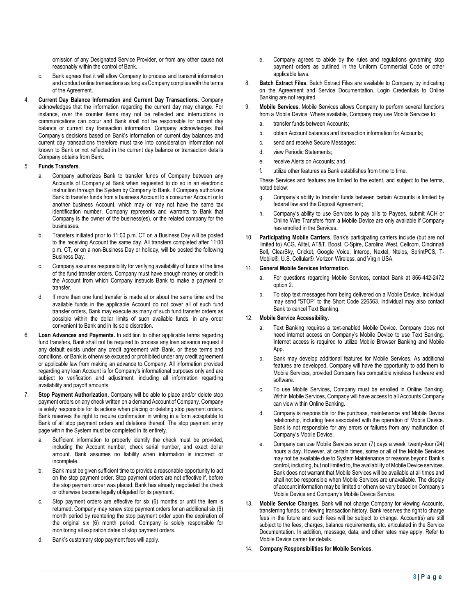omission of any Designated Service Provider, or from any other cause not reasonably within the control of Bank.

- c. Bank agrees that it will allow Company to process and transmit information and conduct online transactions as long as Company complies with the terms of the Agreement.
- 4. **Current Day Balance Information and Current Day Transactions.** Company acknowledges that the information regarding the current day may change. For instance, over the counter items may not be reflected and interruptions in communications can occur and Bank shall not be responsible for current day balance or current day transaction information. Company acknowledges that Company's decisions based on Bank's information on current day balances and current day transactions therefore must take into consideration information not known to Bank or not reflected in the current day balance or transaction details Company obtains from Bank.

# 5. **Funds Transfers**.

- a. Company authorizes Bank to transfer funds of Company between any Accounts of Company at Bank when requested to do so in an electronic instruction through the System by Company to Bank. If Company authorizes Bank to transfer funds from a business Account to a consumer Account or to another business Account, which may or may not have the same tax identification number, Company represents and warrants to Bank that Company is the owner of the business(es), or the related company for the businesses.
- b. Transfers initiated prior to 11:00 p.m. CT on a Business Day will be posted to the receiving Account the same day. All transfers completed after 11:00 p.m. CT, or on a non-Business Day or holiday, will be posted the following Business Day.
- c. Company assumes responsibility for verifying availability of funds at the time of the fund transfer orders. Company must have enough money or credit in the Account from which Company instructs Bank to make a payment or transfer.
- d. If more than one fund transfer is made at or about the same time and the available funds in the applicable Account do not cover all of such fund transfer orders, Bank may execute as many of such fund transfer orders as possible within the dollar limits of such available funds, in any order convenient to Bank and in its sole discretion.
- 6. **Loan Advances and Payments.** In addition to other applicable terms regarding fund transfers, Bank shall not be required to process any loan advance request if any default exists under any credit agreement with Bank, or these terms and conditions, or Bank is otherwise excused or prohibited under any credit agreement or applicable law from making an advance to Company. All information provided regarding any loan Account is for Company's informational purposes only and are subject to verification and adjustment, including all information regarding availability and payoff amounts.
- 7. **Stop Payment Authorization.** Company will be able to place and/or delete stop payment orders on any check written on a demand Account of Company. Company is solely responsible for its actions when placing or deleting stop payment orders. Bank reserves the right to require confirmation in writing in a form acceptable to Bank of all stop payment orders and deletions thereof. The stop payment entry page within the System must be completed in its entirety.
	- a. Sufficient information to properly identify the check must be provided, including the Account number, check serial number, and exact dollar amount. Bank assumes no liability when information is incorrect or incomplete.
	- b. Bank must be given sufficient time to provide a reasonable opportunity to act on the stop payment order. Stop payment orders are not effective if, before the stop payment order was placed; Bank has already negotiated the check or otherwise become legally obligated for its payment.
	- c. Stop payment orders are effective for six (6) months or until the item is returned. Company may renew stop payment orders for an additional six (6) month period by reentering the stop payment order upon the expiration of the original six (6) month period. Company is solely responsible for monitoring all expiration dates of stop payment orders.
	- d. Bank's customary stop payment fees will apply.
- e. Company agrees to abide by the rules and regulations governing stop payment orders as outlined in the Uniform Commercial Code or other applicable laws.
- 8. **Batch Extract Files**. Batch Extract Files are available to Company by indicating on the Agreement and Service Documentation. Login Credentials to Online Banking are not required.
- 9. **Mobile Services**. Mobile Services allows Company to perform several functions from a Mobile Device. Where available, Company may use Mobile Services to:
	- a. transfer funds between Accounts;
	- b. obtain Account balances and transaction information for Accounts;
	- c. send and receive Secure Messages;
	- d. view Periodic Statements;
	- e. receive Alerts on Accounts; and,
	- f. utilize other features as Bank establishes from time to time.

These Services and features are limited to the extent, and subject to the terms, noted below:

- g. Company's ability to transfer funds between certain Accounts is limited by federal law and the Deposit Agreement;
- h. Company's ability to use Services to pay bills to Payees, submit ACH or Online Wire Transfers from a Mobile Device are only available if Company has enrolled in the Services.
- 10. **Participating Mobile Carriers**. Bank's participating carriers include (but are not limited to) ACG, Alltel, AT&T, Boost, C-Spire, Carolina West, Cellcom, Cincinnati Bell, ClearSky, Cricket, Google Voice, Interop, Nextel, Ntelos, SprintPCS, T-Mobile®, U.S. Cellular®, Verizon Wireless, and Virgin USA.

#### 11. **General Mobile Services Information**.

- a. For questions regarding Mobile Services, contact Bank at 866-442-2472 option 2.
- b. To stop text messages from being delivered on a Mobile Device, Individual may send "STOP" to the Short Code 226563. Individual may also contact Bank to cancel Text Banking.

## 12. **Mobile Service Accessibility**.

- a. Text Banking requires a text-enabled Mobile Device. Company does not need internet access on Company's Mobile Device to use Text Banking. Internet access is required to utilize Mobile Browser Banking and Mobile App.
- b. Bank may develop additional features for Mobile Services. As additional features are developed, Company will have the opportunity to add them to Mobile Services, provided Company has compatible wireless hardware and software.
- c. To use Mobile Services, Company must be enrolled in Online Banking. Within Mobile Services, Company will have access to all Accounts Company can view within Online Banking.
- d. Company is responsible for the purchase, maintenance and Mobile Device relationship, including fees associated with the operation of Mobile Device. Bank is not responsible for any errors or failures from any malfunction of Company's Mobile Device.
- e. Company can use Mobile Services seven (7) days a week, twenty-four (24) hours a day. However, at certain times, some or all of the Mobile Services may not be available due to System Maintenance or reasons beyond Bank's control, including, but not limited to, the availability of Mobile Device services. Bank does not warrant that Mobile Services will be available at all times and shall not be responsible when Mobile Services are unavailable. The display of account information may be limited or otherwise vary based on Company's Mobile Device and Company's Mobile Device Service.
- 13. **Mobile Service Charges**. Bank will not charge Company for viewing Accounts, transferring funds, or viewing transaction history. Bank reserves the right to charge fees in the future and such fees will be subject to change. Account(s) are still subject to the fees, charges, balance requirements, etc. articulated in the Service Documentation. In addition, message, data, and other rates may apply. Refer to Mobile Device carrier for details.
- 14. **Company Responsibilities for Mobile Services**.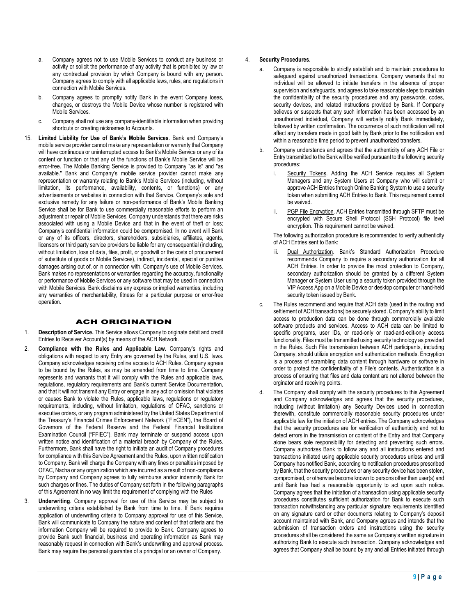- a. Company agrees not to use Mobile Services to conduct any business or activity or solicit the performance of any activity that is prohibited by law or any contractual provision by which Company is bound with any person. Company agrees to comply with all applicable laws, rules, and regulations in connection with Mobile Services.
- b. Company agrees to promptly notify Bank in the event Company loses, changes, or destroys the Mobile Device whose number is registered with Mobile Services.
- c. Company shall not use any company-identifiable information when providing shortcuts or creating nicknames to Accounts.
- 15. **Limited Liability for Use of Bank's Mobile Services**. Bank and Company's mobile service provider cannot make any representation or warranty that Company will have continuous or uninterrupted access to Bank's Mobile Service or any of its content or function or that any of the functions of Bank's Mobile Service will be error-free. The Mobile Banking Service is provided to Company "as is" and "as available." Bank and Company's mobile service provider cannot make any representation or warranty relating to Bank's Mobile Services (including, without limitation, its performance, availability, contents, or functions) or any advertisements or websites in connection with that Service. Company's sole and exclusive remedy for any failure or non-performance of Bank's Mobile Banking Service shall be for Bank to use commercially reasonable efforts to perform an adjustment or repair of Mobile Services. Company understands that there are risks associated with using a Mobile Device and that in the event of theft or loss; Company's confidential information could be compromised. In no event will Bank or any of its officers, directors, shareholders, subsidiaries, affiliates, agents, licensors or third party service providers be liable for any consequential (including, without limitation, loss of data, files, profit, or goodwill or the costs of procurement of substitute of goods or Mobile Services), indirect, incidental, special or punitive damages arising out of, or in connection with, Company's use of Mobile Services. Bank makes no representations or warranties regarding the accuracy, functionality or performance of Mobile Services or any software that may be used in connection with Mobile Services. Bank disclaims any express or implied warranties, including any warranties of merchantability, fitness for a particular purpose or error-free operation.

# ACH ORIGINATION

- 1. **Description of Service.** This Service allows Company to originate debit and credit Entries to Receiver Account(s) by means of the ACH Network.
- 2. **Compliance with the Rules and Applicable Law.** Company's rights and obligations with respect to any Entry are governed by the Rules, and U.S. laws. Company acknowledges receiving online access to ACH Rules. Company agrees to be bound by the Rules, as may be amended from time to time. Company represents and warrants that it will comply with the Rules and applicable laws, regulations, regulatory requirements and Bank's current Service Documentation, and that it will not transmit any Entry or engage in any act or omission that violates or causes Bank to violate the Rules, applicable laws, regulations or regulatory requirements, including, without limitation, regulations of OFAC, sanctions or executive orders, or any program administered by the United States Department of the Treasury's Financial Crimes Enforcement Network ("FinCEN"), the Board of Governors of the Federal Reserve and the Federal Financial Institutions Examination Council ("FFIEC"). Bank may terminate or suspend access upon written notice and identification of a material breach by Company of the Rules. Furthermore, Bank shall have the right to initiate an audit of Company procedures for compliance with this Service Agreement and the Rules, upon written notification to Company. Bank will charge the Company with any fines or penalties imposed by OFAC, Nacha or any organization which are incurred as a result of non-compliance by Company and Company agrees to fully reimburse and/or indemnify Bank for such charges or fines. The duties of Company set forth in the following paragraphs of this Agreement in no way limit the requirement of complying with the Rules
- 3. **Underwriting**. Company approval for use of this Service may be subject to underwriting criteria established by Bank from time to time. If Bank requires application of underwriting criteria to Company approval for use of this Service, Bank will communicate to Company the nature and content of that criteria and the information Company will be required to provide to Bank. Company agrees to provide Bank such financial, business and operating information as Bank may reasonably request in connection with Bank's underwriting and approval process. Bank may require the personal guarantee of a principal or an owner of Company.

# 4. **Security Procedures.**

- a. Company is responsible to strictly establish and to maintain procedures to safeguard against unauthorized transactions. Company warrants that no individual will be allowed to initiate transfers in the absence of proper supervision and safeguards, and agrees to take reasonable steps to maintain the confidentiality of the security procedures and any passwords, codes, security devices, and related instructions provided by Bank. If Company believes or suspects that any such information has been accessed by an unauthorized individual, Company will verbally notify Bank immediately, followed by written confirmation. The occurrence of such notification will not affect any transfers made in good faith by Bank prior to the notification and within a reasonable time period to prevent unauthorized transfers.
- b. Company understands and agrees that the authenticity of any ACH File or Entry transmitted to the Bank will be verified pursuant to the following security procedures:
	- i. Security Tokens. Adding the ACH Service requires all System Managers and any System Users at Company who will submit or approve ACH Entries through Online Banking System to use a security token when submitting ACH Entries to Bank. This requirement cannot be waived.
	- PGP File Encryption. ACH Entries transmitted through SFTP must be encrypted with Secure Shell Protocol (SSH Protocol) file level encryption. This requirement cannot be waived.

The following authorization procedure is recommended to verify authenticity of ACH Entries sent to Bank:

- Dual Authorization. Bank's Standard Authorization Procedure recommends Company to require a secondary authorization for all ACH Entries. In order to provide the most protection to Company, secondary authorization should be granted by a different System Manager or System User using a security token provided through the VIP Access App on a Mobile Device or desktop computer or hand-held security token issued by Bank.
- c. The Rules recommend and require that ACH data (used in the routing and settlement of ACH transactions) be securely stored. Company's ability to limit access to production data can be done through commercially available software products and services. Access to ACH data can be limited to specific programs, user IDs, or read-only or read-and-edit-only access functionality. Files must be transmitted using security technology as provided in the Rules. Such File transmission between ACH participants, including Company, should utilizie encryption and authentication methods. Encryption is a process of scrambling data content through hardware or software in order to protect the confidentiality of a File's contents. Authentication is a process of ensuring that files and data content are not altered between the orginator and receiving points.
- The Company shall comply with the security procedures to this Agreement and Company acknowledges and agrees that the security procedures, including (without limitation) any Security Devices used in connection therewith, constitute commercially reasonable security procedures under applicable law for the initiation of ACH entries. The Company acknowledges that the security procedures are for verification of authenticity and not to detect errors in the transmission or content of the Entry and that Company alone bears sole responsibility for detecting and preventing such errors. Company authorizes Bank to follow any and all instructions entered and transactions initiated using applicable security procedures unless and until Company has notified Bank, according to notification procedures prescribed by Bank, that the security procedures or any security device has been stolen, compromised, or otherwise become known to persons other than user(s) and until Bank has had a reasonable opportunity to act upon such notice. Company agrees that the initiation of a transaction using applicable security procedures constitutes sufficient authorization for Bank to execute such transaction notwithstanding any particular signature requirements identified on any signature card or other documents relating to Company's deposit account maintained with Bank, and Company agrees and intends that the submission of transaction orders and instructions using the security procedures shall be considered the same as Company's written signature in authorizing Bank to execute such transaction. Company acknowledges and agrees that Company shall be bound by any and all Entries initiated through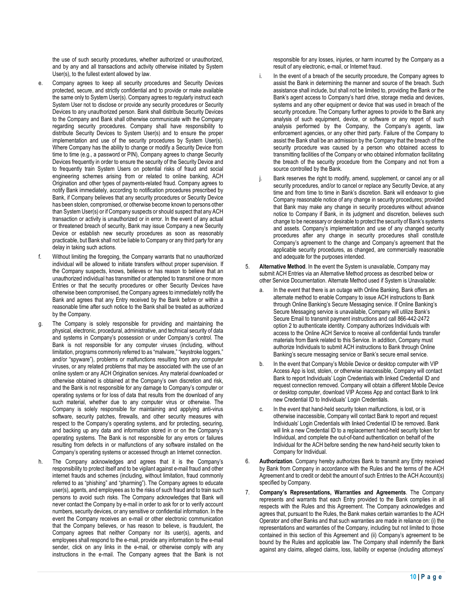the use of such security procedures, whether authorized or unauthorized, and by any and all transactions and activity otherwise initiated by System User(s), to the fullest extent allowed by law.

- e. Company agrees to keep all security procedures and Security Devices protected, secure, and strictly confidential and to provide or make available the same only to System User(s). Company agrees to regularly instruct each System User not to disclose or provide any security procedures or Security Devices to any unauthorized person. Bank shall distribute Security Devices to the Company and Bank shall otherwise communicate with the Company regarding security procedures. Company shall have responsibility to distribute Security Devices to System User(s) and to ensure the proper implementation and use of the security procedures by System User(s). Where Company has the ability to change or modify a Security Device from time to time (e.g., a password or PIN), Company agrees to change Security Devices frequently in order to ensure the security of the Security Device and to frequently train System Users on potential risks of fraud and social engineering schemes arising from or related to online banking, ACH Origination and other types of payments-related fraud. Company agrees to notify Bank immediately, according to notification procedures prescribed by Bank, if Company believes that any security procedures or Security Device has been stolen, compromised, or otherwise become known to persons other than System User(s) or if Company suspects or should suspect that any ACH transaction or activity is unauthorized or in error. In the event of any actual or threatened breach of security, Bank may issue Company a new Security Device or establish new security procedures as soon as reasonably practicable, but Bank shall not be liable to Company or any third party for any delay in taking such actions.
- f. Without limiting the foregoing, the Company warrants that no unauthorized individual will be allowed to initiate transfers without proper supervision. If the Company suspects, knows, believes or has reason to believe that an unauthorized individual has transmitted or attempted to transmit one or more Entries or that the security procedures or other Security Devices have otherwise been compromised, the Company agrees to immediately notify the Bank and agrees that any Entry received by the Bank before or within a reasonable time after such notice to the Bank shall be treated as authorized by the Company.
- g. The Company is solely responsible for providing and maintaining the physical, electronic, procedural, administrative, and technical security of data and systems in Company's possession or under Company's control. The Bank is not responsible for any computer viruses (including, without limitation, programs commonly referred to as "malware," "keystroke loggers." and/or "spyware"), problems or malfunctions resulting from any computer viruses, or any related problems that may be associated with the use of an online system or any ACH Origination services. Any material downloaded or otherwise obtained is obtained at the Company's own discretion and risk, and the Bank is not responsible for any damage to Company's computer or operating systems or for loss of data that results from the download of any such material, whether due to any computer virus or otherwise. The Company is solely responsible for maintaining and applying anti-virus software, security patches, firewalls, and other security measures with respect to the Company's operating systems, and for protecting, securing, and backing up any data and information stored in or on the Company's operating systems. The Bank is not responsible for any errors or failures resulting from defects in or malfunctions of any software installed on the Company's operating systems or accessed through an Internet connection.
- h. The Company acknowledges and agrees that it is the Company's responsibility to protect itself and to be vigilant against e-mail fraud and other internet frauds and schemes (including, without limitation, fraud commonly referred to as "phishing" and "pharming"). The Company agrees to educate user(s), agents, and employees as to the risks of such fraud and to train such persons to avoid such risks. The Company acknowledges that Bank will never contact the Company by e-mail in order to ask for or to verify account numbers, security devices, or any sensitive or confidential information. In the event the Company receives an e-mail or other electronic communication that the Company believes, or has reason to believe, is fraudulent, the Company agrees that neither Company nor its user(s), agents, and employees shall respond to the e-mail, provide any information to the e-mail sender, click on any links in the e-mail, or otherwise comply with any instructions in the e-mail. The Company agrees that the Bank is not

responsible for any losses, injuries, or harm incurred by the Company as a result of any electronic, e-mail, or Internet fraud.

- In the event of a breach of the security procedure, the Company agrees to assist the Bank in determining the manner and source of the breach. Such assistance shall include, but shall not be limited to, providing the Bank or the Bank's agent access to Company's hard drive, storage media and devices, systems and any other equipment or device that was used in breach of the security procedure. The Company further agrees to provide to the Bank any analysis of such equipment, device, or software or any report of such analysis performed by the Company, the Company's agents, law enforcement agencies, or any other third party. Failure of the Company to assist the Bank shall be an admission by the Company that the breach of the security procedure was caused by a person who obtained access to transmitting facilities of the Company or who obtained information facilitating the breach of the security procedure from the Company and not from a source controlled by the Bank.
- Bank reserves the right to modify, amend, supplement, or cancel any or all security procedures, and/or to cancel or replace any Security Device, at any time and from time to time in Bank's discretion. Bank will endeavor to give Company reasonable notice of any change in security procedures; provided that Bank may make any change in security procedures without advance notice to Company if Bank, in its judgment and discretion, believes such change to be necessary or desirable to protect the security of Bank's systems and assets. Company's implementation and use of any changed security procedures after any change in security procedures shall constitute Company's agreement to the change and Company's agreement that the applicable security procedures, as changed, are commercially reasonable and adequate for the purposes intended.
- 5. **Alternative Method**. In the event the System is unavailable, Company may submit ACH Entries via an Alternative Method process as described below or other Service Documentation. Alternate Method used if System is Unavailable:
	- a. In the event that there is an outage with Online Banking, Bank offers an alternate method to enable Company to issue ACH instructions to Bank through Online Banking's Secure Messaging service. If Online Banking's Secure Messaging service is unavailable, Company will utilize Bank's Secure Email to transmit payment instructions and call 866-442-2472 option 2 to authenticate identity. Company authorizes Individuals with access to the Online ACH Service to receive all confidential funds transfer materials from Bank related to this Service. In addition, Company must authorize Individuals to submit ACH instructions to Bank through Online Banking's secure messaging service or Bank's secure email service.
	- b. In the event that Company's Mobile Device or desktop computer with VIP Access App is lost, stolen, or otherwise inaccessible, Company will contact Bank to report Individuals' Login Credentials with linked Credential ID and request connection removed. Company will obtain a different Mobile Device or desktop computer, download VIP Access App and contact Bank to link new Credential ID to Individuals' Login Credentials.
	- c. In the event that hand-held security token malfunctions, is lost, or is otherwise inaccessible, Company will contact Bank to report and request Individuals' Login Credentials with linked Credential ID be removed. Bank will link a new Credential ID to a replacement hand-held security token for Individual, and complete the out-of-band authentication on behalf of the Individual for the ACH before sending the new hand-held security token to Company for Individual.
- 6. **Authorization**. Company hereby authorizes Bank to transmit any Entry received by Bank from Company in accordance with the Rules and the terms of the ACH Agreement and to credit or debit the amount of such Entries to the ACH Account(s) specified by Company.
- 7. **Company's Representations, Warranties and Agreements**. The Company represents and warrants that each Entry provided to the Bank complies in all respects with the Rules and this Agreement. The Company acknowledges and agrees that, pursuant to the Rules, the Bank makes certain warranties to the ACH Operator and other Banks and that such warranties are made in reliance on: (i) the representations and warranties of the Company, including but not limited to those contained in this section of this Agreement and (ii) Company's agreement to be bound by the Rules and applicable law. The Company shall indemnify the Bank against any claims, alleged claims, loss, liability or expense (including attorneys'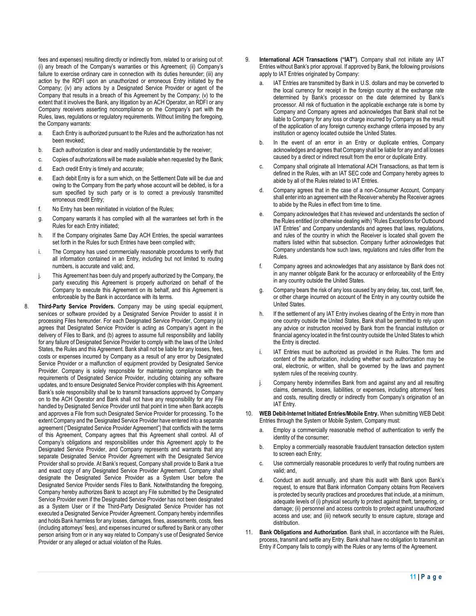fees and expenses) resulting directly or indirectly from, related to or arising out of: (i) any breach of the Company's warranties or this Agreement; (ii) Company's failure to exercise ordinary care in connection with its duties hereunder; (iii) any action by the RDFI upon an unauthorized or erroneous Entry initiated by the Company; (iv) any actions by a Designated Service Provider or agent of the Company that results in a breach of this Agreement by the Company; (v) to the extent that it involves the Bank, any litigation by an ACH Operator, an RDFI or any Company receivers asserting noncompliance on the Company's part with the Rules, laws, regulations or regulatory requirements. Without limiting the foregoing, the Company warrants:

- a. Each Entry is authorized pursuant to the Rules and the authorization has not been revoked;
- b. Each authorization is clear and readily understandable by the receiver;
- c. Copies of authorizations will be made available when requested by the Bank;
- d. Each credit Entry is timely and accurate;
- e. Each debit Entry is for a sum which, on the Settlement Date will be due and owing to the Company from the party whose account will be debited, is for a sum specified by such party or is to correct a previously transmitted erroneous credit Entry;
- f. No Entry has been reinitiated in violation of the Rules;
- g. Company warrants it has complied with all the warrantees set forth in the Rules for each Entry initiated;
- h. If the Company originates Same Day ACH Entries, the special warrantees set forth in the Rules for such Entries have been complied with;
- i. The Company has used commercially reasonable procedures to verify that all information contained in an Entry, including but not limited to routing numbers, is accurate and valid; and,
- j. This Agreement has been duly and properly authorized by the Company, the party executing this Agreement is properly authorized on behalf of the Company to execute this Agreement on its behalf, and this Agreement is enforceable by the Bank in accordance with its terms.
- 8. **Third-Party Service Providers.** Company may be using special equipment, services or software provided by a Designated Service Provider to assist it in processing Files hereunder. For each Designated Service Provider, Company (a) agrees that Designated Service Provider is acting as Company's agent in the delivery of Files to Bank, and (b) agrees to assume full responsibility and liability for any failure of Designated Service Provider to comply with the laws of the United States, the Rules and this Agreement. Bank shall not be liable for any losses, fees, costs or expenses incurred by Company as a result of any error by Designated Service Provider or a malfunction of equipment provided by Designated Service Provider. Company is solely responsible for maintaining compliance with the requirements of Designated Service Provider, including obtaining any software updates, and to ensure Designated Service Provider complies with this Agreement. Bank's sole responsibility shall be to transmit transactions approved by Company on to the ACH Operator and Bank shall not have any responsibility for any File handled by Designated Service Provider until that point in time when Bank accepts and approves a File from such Designated Service Provider for processing. To the extent Company and the Designated Service Provider have entered into a separate agreement ("Designated Service Provider Agreement") that conflicts with the terms of this Agreement, Company agrees that this Agreement shall control. All of Company's obligations and responsibilities under this Agreement apply to the Designated Service Provider, and Company represents and warrants that any separate Designated Service Provider Agreement with the Designated Service Provider shall so provide. At Bank's request, Company shall provide to Bank a true and exact copy of any Designated Service Provider Agreement. Company shall designate the Designated Service Provider as a System User before the Designated Service Provider sends Files to Bank. Notwithstanding the foregoing, Company hereby authorizes Bank to accept any File submitted by the Designated Service Provider even if the Designated Service Provider has not been designated as a System User or if the Third-Party Designated Service Provider has not executed a Designated Service Provider Agreement. Company hereby indemnifies and holds Bank harmless for any losses, damages, fines, assessments, costs, fees (including attorneys' fees), and expenses incurred or suffered by Bank or any other person arising from or in any way related to Company's use of Designated Service Provider or any alleged or actual violation of the Rules.
- 9. **International ACH Transactions ("IAT")**. Company shall not initiate any IAT Entries without Bank's prior approval. If approved by Bank, the following provisions apply to IAT Entries originated by Company:
	- a. IAT Entries are transmitted by Bank in U.S. dollars and may be converted to the local currency for receipt in the foreign country at the exchange rate determined by Bank's processor on the date determined by Bank's processor. All risk of fluctuation in the applicable exchange rate is borne by Company and Company agrees and acknowledges that Bank shall not be liable to Company for any loss or charge incurred by Company as the result of the application of any foreign currency exchange criteria imposed by any institution or agency located outside the United States.
	- b. In the event of an error in an Entry or duplicate entries, Company acknowledges and agrees that Company shall be liable for any and all losses caused by a direct or indirect result from the error or duplicate Entry.
	- c. Company shall originate all International ACH Transactions, as that term is defined in the Rules, with an IAT SEC code and Company hereby agrees to abide by all of the Rules related to IAT Entries.
	- d. Company agrees that in the case of a non-Consumer Account, Company shall enter into an agreement with the Receiver whereby the Receiver agrees to abide by the Rules in effect from time to time.
	- e. Company acknowledges that it has reviewed and understands the section of the Rules entitled (or otherwise dealing with) "Rules Exceptions for Outbound IAT Entries" and Company understands and agrees that laws, regulations, and rules of the country in which the Receiver is located shall govern the matters listed within that subsection. Company further acknowledges that Company understands how such laws, regulations and rules differ from the Rules.
	- f. Company agrees and acknowledges that any assistance by Bank does not in any manner obligate Bank for the accuracy or enforceability of the Entry in any country outside the United States.
	- g. Company bears the risk of any loss caused by any delay, tax, cost, tariff, fee, or other charge incurred on account of the Entry in any country outside the United States.
	- h. If the settlement of any IAT Entry involves clearing of the Entry in more than one country outside the United States, Bank shall be permitted to rely upon any advice or instruction received by Bank from the financial institution or financial agency located in the first country outside the United States to which the Entry is directed.
	- i. IAT Entries must be authorized as provided in the Rules. The form and content of the authorization, including whether such authorization may be oral, electronic, or written, shall be governed by the laws and payment system rules of the receiving country.
	- Company hereby indemnifies Bank from and against any and all resulting claims, demands, losses, liabilities, or expenses, including attorneys' fees and costs, resulting directly or indirectly from Company's origination of an IAT Entry.
- 10. **WEB Debit-Internet Initiated Entries/Mobile Entry.** When submitting WEB Debit Entries through the System or Mobile System, Company must:
	- a. Employ a commercially reasonable method of authentication to verify the identity of the consumer;
	- b. Employ a commercially reasonable fraudulent transaction detection system to screen each Entry;
	- c. Use commercially reasonable procedures to verify that routing numbers are valid; and,
	- d. Conduct an audit annually, and share this audit with Bank upon Bank's request, to ensure that Bank information Company obtains from Receivers is protected by security practices and procedures that include, at a minimum, adequate levels of (i) physical security to protect against theft, tampering, or damage; (ii) personnel and access controls to protect against unauthorized access and use; and (iii) network security to ensure capture, storage and distribution.
- 11. **Bank Obligations and Authorization**. Bank shall, in accordance with the Rules, process, transmit and settle any Entry. Bank shall have no obligation to transmit an Entry if Company fails to comply with the Rules or any terms of the Agreement.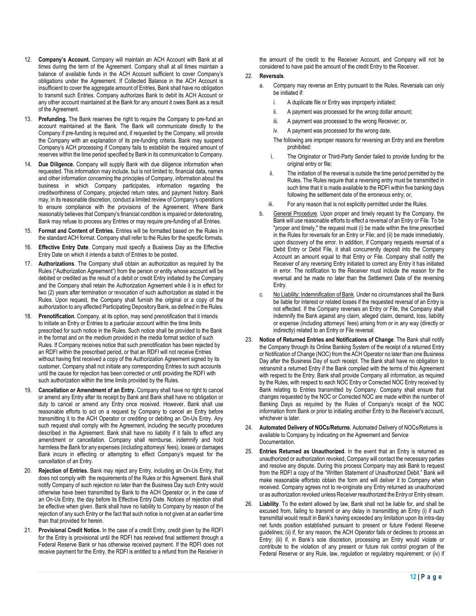- 12. **Company's Account.** Company will maintain an ACH Account with Bank at all times during the term of the Agreement. Company shall at all times maintain a balance of available funds in the ACH Account sufficient to cover Company's obligations under the Agreement. If Collected Balance in the ACH Account is insufficient to cover the aggregate amount of Entries, Bank shall have no obligation to transmit such Entries. Company authorizes Bank to debit its ACH Account or any other account maintained at the Bank for any amount it owes Bank as a result of the Agreement.
- 13. **Prefunding.** The Bank reserves the right to require the Company to pre-fund an account maintained at the Bank. The Bank will communicate directly to the Company if pre-funding is required and, if requested by the Company, will provide the Company with an explanation of its pre-funding criteria. Bank may suspend Company's ACH processing if Company fails to establish the required amount of reserves within the time period specified by Bank in its communication to Company.
- 14. **Due Diligence.** Company will supply Bank with due diligence information when requested. This information may include, but is not limited to, financial data, names and other information concerning the principles of Company, information about the business in which Company participates, information regarding the creditworthiness of Company, projected return rates, and payment history. Bank may, in its reasonable discretion, conduct a limited review of Company's operations to ensure compliance with the provisions of the Agreement. Where Bank reasonably believes that Company's financial condition is impaired or deteriorating, Bank may refuse to process any Entries or may require pre-funding of all Entries.
- 15. **Format and Content of Entries.** Entries will be formatted based on the Rules in the standard ACH format. Company shall refer to the Rules for the specific formats.
- 16. **Effective Entry Date**. Company must specify a Business Day as the Effective Entry Date on which it intends a batch of Entries to be posted.
- 17. **Authorizations**. The Company shall obtain an authorization as required by the Rules ("Authorization Agreement") from the person or entity whose account will be debited or credited as the result of a debit or credit Entry initiated by the Company and the Company shall retain the Authorization Agreement while it is in effect for two (2) years after termination or revocation of such authorization as stated in the Rules. Upon request, the Company shall furnish the original or a copy of the authorization to any affected Participating Depository Bank, as defined in the Rules.
- 18. **Prenotification**. Company, at its option, may send prenotification that it intends to initiate an Entry or Entries to a particular account within the time limits prescribed for such notice in the Rules. Such notice shall be provided to the Bank in the format and on the medium provided in the media format section of such Rules. If Company receives notice that such prenotification has been rejected by an RDFI within the prescribed period, or that an RDFI will not receive Entries without having first received a copy of the Authorization Agreement signed by its customer, Company shall not initiate any corresponding Entries to such accounts until the cause for rejection has been corrected or until providing the RDFI with such authorization within the time limits provided by the Rules.
- 19. **Cancellation or Amendment of an Entry.** Company shall have no right to cancel or amend any Entry after its receipt by Bank and Bank shall have no obligation or duty to cancel or amend any Entry once received. However, Bank shall use reasonable efforts to act on a request by Company to cancel an Entry before transmitting it to the ACH Operator or crediting or debiting an On-Us Entry. Any such request shall comply with the Agreement, including the security procedures described in the Agreement. Bank shall have no liability if it fails to effect any amendment or cancellation. Company shall reimburse, indemnify and hold harmless the Bank for any expenses (including attorneys' fees), losses or damages Bank incurs in effecting or attempting to effect Company's request for the cancellation of an Entry.
- 20. **Rejection of Entries.** Bank may reject any Entry, including an On-Us Entry, that does not comply with the requirements of the Rules or this Agreement. Bank shall notify Company of such rejection no later than the Business Day such Entry would otherwise have been transmitted by Bank to the ACH Operator or, in the case of an On-Us Entry, the day before its Effective Entry Date. Notices of rejection shall be effective when given. Bank shall have no liability to Company by reason of the rejection of any such Entry or the fact that such notice is not given at an earlier time than that provided for herein.
- 21. **Provisional Credit Notice.** In the case of a credit Entry, credit given by the RDFI for the Entry is provisional until the RDFI has received final settlement through a Federal Reserve Bank or has otherwise received payment. If the RDFI does not receive payment for the Entry, the RDFI is entitled to a refund from the Receiver in

the amount of the credit to the Receiver Account, and Company will not be considered to have paid the amount of the credit Entry to the Receiver.

# 22. **Reversals**.

- a. Company may reverse an Entry pursuant to the Rules. Reversals can only be initiated if:
	- i. A duplicate file or Entry was improperly initiated;
	- ii. A payment was processed for the wrong dollar amount;
	- iii. A payment was processed to the wrong Receiver; or,
	- iv. A payment was processed for the wrong date.
	- The following are improper reasons for reversing an Entry and are therefore prohibited:
	- i. The Originator or Third-Party Sender failed to provide funding for the original entry or file;
	- ii. The initiation of the reversal is outside the time period permitted by the Rules. The Rules require that a reversing entry must be transmitted in such time that it is made available to the RDFI within five banking days following the settlement date of the erroneous entry; or,
	- iii. For any reason that is not explicitly permitted under the Rules.
- b. General Procedure. Upon proper and timely request by the Company, the Bank will use reasonable efforts to effect a reversal of an Entry or File. To be "proper and timely," the request must (i) be made within the time prescribed in the Rules for reversals for an Entry or File; and (ii) be made immediately, upon discovery of the error. In addition, if Company requests reversal of a Debit Entry or Debit File, it shall concurrently deposit into the Company Account an amount equal to that Entry or File. Company shall notify the Receiver of any reversing Entry initiated to correct any Entry it has initiated in error. The notification to the Receiver must include the reason for the reversal and be made no later than the Settlement Date of the reversing Entry.
- c. No Liability: Indemnification of Bank. Under no circumstances shall the Bank be liable for interest or related losses if the requested reversal of an Entry is not effected. If the Company reverses an Entry or File, the Company shall indemnify the Bank against any claim, alleged claim, demand, loss, liability or expense (including attorneys' fees) arising from or in any way (directly or indirectly) related to an Entry or File reversal.
- 23. **Notice of Returned Entries and Notifications of Change**. The Bank shall notify the Company through its Online Banking System of the receipt of a returned Entry or Notification of Change (NOC) from the ACH Operator no later than one Business Day after the Business Day of such receipt. The Bank shall have no obligation to retransmit a returned Entry if the Bank complied with the terms of this Agreement with respect to the Entry. Bank shall provide Company all information, as required by the Rules, with respect to each NOC Entry or Corrected NOC Entry received by Bank relating to Entries transmitted by Company. Company shall ensure that changes requested by the NOC or Corrected NOC are made within the number of Banking Days as required by the Rules of Company's receipt of the NOC information from Bank or prior to initiating another Entry to the Receiver's account, whichever is later.
- 24. **Automated Delivery of NOCs/Returns**. Automated Delivery of NOCs/Returns is available to Company by indicating on the Agreement and Service Documentation.
- 25. **Entries Returned as Unauthorized**. In the event that an Entry is returned as unauthorized or authorization revoked, Company will contact the necessary parties and resolve any dispute. During this process Company may ask Bank to request from the RDFI a copy of the "Written Statement of Unauthorized Debit." Bank will make reasonable effortsto obtain the form and will deliver it to Company when received. Company agrees not to re-originate any Entry returned as unauthorized or as authorization revoked unless Receiver reauthorized the Entry or Entry stream.
- 26. **Liability**. To the extent allowed by law, Bank shall not be liable for, and shall be excused from, failing to transmit or any delay in transmitting an Entry (i) if such transmittal would result in Bank's having exceeded any limitation upon its intra-day net funds position established pursuant to present or future Federal Reserve guidelines; (ii) if, for any reason, the ACH Operator fails or declines to process an Entry; (iii) if, in Bank's sole discretion, processing an Entry would violate or contribute to the violation of any present or future risk control program of the Federal Reserve or any Rule, law, regulation or regulatory requirement; or (iv) if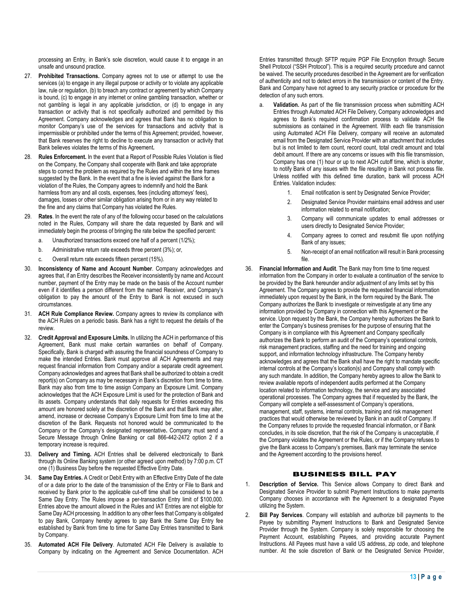processing an Entry, in Bank's sole discretion, would cause it to engage in an unsafe and unsound practice.

- 27. **Prohibited Transactions.** Company agrees not to use or attempt to use the services (a) to engage in any illegal purpose or activity or to violate any applicable law, rule or regulation, (b) to breach any contract or agreement by which Company is bound, (c) to engage in any internet or online gambling transaction, whether or not gambling is legal in any applicable jurisdiction, or (d) to engage in any transaction or activity that is not specifically authorized and permitted by this Agreement. Company acknowledges and agrees that Bank has no obligation to monitor Company's use of the services for transactions and activity that is impermissible or prohibited under the terms of this Agreement; provided, however, that Bank reserves the right to decline to execute any transaction or activity that Bank believes violates the terms of this Agreement**.**
- 28. **Rules Enforcement.** In the event that a Report of Possible Rules Violation is filed on the Company, the Company shall cooperate with Bank and take appropriate steps to correct the problem as required by the Rules and within the time frames suggested by the Bank. In the event that a fine is levied against the Bank for a violation of the Rules, the Company agrees to indemnify and hold the Bank harmless from any and all costs, expenses, fees (including attorneys' fees), damages, losses or other similar obligation arising from or in any way related to the fine and any claims that Company has violated the Rules.
- 29. **Rates**. In the event the rate of any of the following occur based on the calculations noted in the Rules, Company will share the data requested by Bank and will immediately begin the process of bringing the rate below the specified percent:
	- a. Unauthorized transactions exceed one half of a percent (1/2%);
	- b. Administrative return rate exceeds three percent (3%); or,
	- c. Overall return rate exceeds fifteen percent (15%).
- 30. **Inconsistency of Name and Account Number**. Company acknowledges and agrees that, if an Entry describes the Receiver inconsistently by name and Account number, payment of the Entry may be made on the basis of the Account number even if it identifies a person different from the named Receiver, and Company's obligation to pay the amount of the Entry to Bank is not excused in such circumstances.
- 31. **ACH Rule Compliance Review.** Company agrees to review its compliance with the ACH Rules on a periodic basis. Bank has a right to request the details of the review.
- 32. **Credit Approval and Exposure Limits.** In utilizing the ACH in performance of this Agreement, Bank must make certain warranties on behalf of Company. Specifically, Bank is charged with assuring the financial soundness of Company to make the intended Entries. Bank must approve all ACH Agreements and may request financial information from Company and/or a separate credit agreement. Company acknowledges and agrees that Bank shall be authorized to obtain a credit report(s) on Company as may be necessary in Bank's discretion from time to time. Bank may also from time to time assign Company an Exposure Limit. Company acknowledges that the ACH Exposure Limit is used for the protection of Bank and its assets. Company understands that daily requests for Entries exceeding this amount are honored solely at the discretion of the Bank and that Bank may alter, amend, increase or decrease Company's Exposure Limit from time to time at the discretion of the Bank. Requests not honored would be communicated to the Company or the Company's designated representative**.** Company must send a Secure Message through Online Banking or call 866-442-2472 option 2 if a temporary increase is required.
- 33. **Delivery and Timing.** ACH Entries shall be delivered electronically to Bank through its Online Banking system (or other agreed upon method) by 7:00 p.m. CT one (1) Business Day before the requested Effective Entry Date.
- 34. **Same Day Entries.** A Credit or Debit Entry with an Effective Entry Date of the date of or a date prior to the date of the transmission of the Entry or File to Bank and received by Bank prior to the applicable cut-off time shall be considered to be a Same Day Entry. The Rules impose a per-transaction Entry limit of \$100,000. Entries above the amount allowed in the Rules and IAT Entries are not eligible for Same Day ACH processing. In addition to any other fees that Company is obligated to pay Bank, Company hereby agrees to pay Bank the Same Day Entry fee established by Bank from time to time for Same Day Entries transmitted to Bank by Company.
- 35. **Automated ACH File Delivery**. Automated ACH File Delivery is available to Company by indicating on the Agreement and Service Documentation. ACH

Entries transmitted through SFTP require PGP File Encryption through Secure Shell Protocol ("SSH Protocol"). This is a required security procedure and cannot be waived. The security procedures described in the Agreement are for verification of authenticity and not to detect errors in the transmission or content of the Entry. Bank and Company have not agreed to any security practice or procedure for the detection of any such errors.

- Validation. As part of the file transmission process when submitting ACH Entries through Automated ACH File Delivery, Company acknowledges and agrees to Bank's required confirmation process to validate ACH file submissions as contained in the Agreement. With each file transmission using Automated ACH File Delivery, company will receive an automated email from the Designated Service Provider with an attachment that includes but is not limited to item count, record count, total credit amount and total debit amount. If there are any concerns or issues with this file transmission, Company has one (1) hour or up to next ACH cutoff time, which is shorter, to notify Bank of any issues with the file resulting in Bank not process file. Unless notified with this defined time duration, bank will process ACH Entries. Validation includes:
	- 1. Email notification is sent by Designated Service Provider;
	- 2. Designated Service Provider maintains email address and user information related to email notification;
	- 3. Company will communicate updates to email addresses or users directly to Designated Service Provider;
	- 4. Company agrees to correct and resubmit file upon notifying Bank of any issues;
	- 5. Non-receipt of an email notification will result in Bank processing file.
- 36. **Financial Information and Audit**. The Bank may from time to time request information from the Company in order to evaluate a continuation of the service to be provided by the Bank hereunder and/or adjustment of any limits set by this Agreement. The Company agrees to provide the requested financial information immediately upon request by the Bank, in the form required by the Bank. The Company authorizes the Bank to investigate or reinvestigate at any time any information provided by Company in connection with this Agreement or the service. Upon request by the Bank, the Company hereby authorizes the Bank to enter the Company's business premises for the purpose of ensuring that the Company is in compliance with this Agreement and Company specifically authorizes the Bank to perform an audit of the Company's operational controls, risk management practices, staffing and the need for training and ongoing support, and information technology infrastructure. The Company hereby acknowledges and agrees that the Bank shall have the right to mandate specific internal controls at the Company's location(s) and Company shall comply with any such mandate. In addition, the Company hereby agrees to allow the Bank to review available reports of independent audits performed at the Company location related to information technology, the service and any associated operational processes. The Company agrees that if requested by the Bank, the Company will complete a self-assessment of Company's operations, management, staff, systems, internal controls, training and risk management practices that would otherwise be reviewed by Bank in an audit of Company. If the Company refuses to provide the requested financial information, or if Bank concludes, in its sole discretion, that the risk of the Company is unacceptable, if the Company violates the Agreement or the Rules, or if the Company refuses to give the Bank access to Company's premises, Bank may terminate the service and the Agreement according to the provisions hereof.

## BUSINESS BILL PAY

- 1. **Description of Service.** This Service allows Company to direct Bank and Designated Service Provider to submit Payment Instructions to make payments Company chooses in accordance with the Agreement to a designated Payee utilizing the System.
- 2. **Bill Pay Services**. Company will establish and authorize bill payments to the Payee by submitting Payment Instructions to Bank and Designated Service Provider through the System. Company is solely responsible for choosing the Payment Account, establishing Payees, and providing accurate Payment Instructions. All Payees must have a valid US address, zip code, and telephone number. At the sole discretion of Bank or the Designated Service Provider,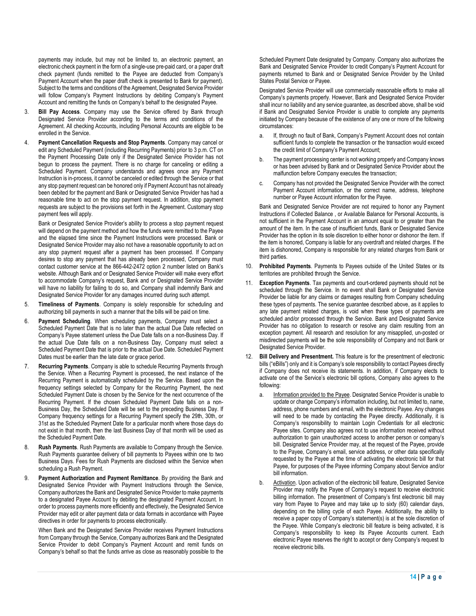payments may include, but may not be limited to, an electronic payment, an electronic check payment in the form of a single-use pre-paid card, or a paper draft check payment (funds remitted to the Payee are deducted from Company's Payment Account when the paper draft check is presented to Bank for payment). Subject to the terms and conditions of the Agreement, Designated Service Provider will follow Company's Payment Instructions by debiting Company's Payment Account and remitting the funds on Company's behalf to the designated Payee.

- 3. **Bill Pay Access**. Company may use the Service offered by Bank through Designated Service Provider according to the terms and conditions of the Agreement. All checking Accounts, including Personal Accounts are eligible to be enrolled in the Service.
- 4. **Payment Cancellation Requests and Stop Payments**. Company may cancel or edit any Scheduled Payment (including Recurring Payments) prior to 3 p.m. CT on the Payment Processing Date only if the Designated Service Provider has not begun to process the payment. There is no charge for canceling or editing a Scheduled Payment. Company understands and agrees once any Payment Instruction is in-process, it cannot be canceled or edited through the Service or that any stop payment request can be honored only if Payment Account has not already been debited for the payment and Bank or Designated Service Provider has had a reasonable time to act on the stop payment request. In addition, stop payment requests are subject to the provisions set forth in the Agreement. Customary stop payment fees will apply.

Bank or Designated Service Provider's ability to process a stop payment request will depend on the payment method and how the funds were remitted to the Payee and the elapsed time since the Payment Instructions were processed. Bank or Designated Service Provider may also not have a reasonable opportunity to act on any stop payment request after a payment has been processed. If Company desires to stop any payment that has already been processed, Company must contact customer service at the 866-442-2472 option 2 number listed on Bank's website. Although Bank and or Designated Service Provider will make every effort to accommodate Company's request, Bank and or Designated Service Provider will have no liability for failing to do so, and Company shall indemnify Bank and Designated Service Provider for any damages incurred during such attempt.

- 5. **Timeliness of Payments**. Company is solely responsible for scheduling and authorizing bill payments in such a manner that the bills will be paid on time.
- 6. **Payment Scheduling**. When scheduling payments, Company must select a Scheduled Payment Date that is no later than the actual Due Date reflected on Company's Payee statement unless the Due Date falls on a non-Business Day. If the actual Due Date falls on a non-Business Day, Company must select a Scheduled Payment Date that is prior to the actual Due Date. Scheduled Payment Dates must be earlier than the late date or grace period.
- 7. **Recurring Payments**. Company is able to schedule Recurring Payments through the Service. When a Recurring Payment is processed, the next instance of the Recurring Payment is automatically scheduled by the Service. Based upon the frequency settings selected by Company for the Recurring Payment, the next Scheduled Payment Date is chosen by the Service for the next occurrence of the Recurring Payment. If the chosen Scheduled Payment Date falls on a non-Business Day, the Scheduled Date will be set to the preceding Business Day. If Company frequency settings for a Recurring Payment specify the 29th, 30th, or 31st as the Scheduled Payment Date for a particular month where those days do not exist in that month, then the last Business Day of that month will be used as the Scheduled Payment Date.
- 8. **Rush Payments**. Rush Payments are available to Company through the Service. Rush Payments guarantee delivery of bill payments to Payees within one to two Business Days. Fees for Rush Payments are disclosed within the Service when scheduling a Rush Payment.
- 9. **Payment Authorization and Payment Remittance**. By providing the Bank and Designated Service Provider with Payment Instructions through the Service, Company authorizes the Bank and Designated Service Provider to make payments to a designated Payee Account by debiting the designated Payment Account. In order to process payments more efficiently and effectively, the Designated Service Provider may edit or alter payment data or data formats in accordance with Payee directives in order for payments to process electronically.

When Bank and the Designated Service Provider receives Payment Instructions from Company through the Service, Company authorizes Bank and the Designated Service Provider to debit Company's Payment Account and remit funds on Company's behalf so that the funds arrive as close as reasonably possible to the

Scheduled Payment Date designated by Company. Company also authorizes the Bank and Designated Service Provider to credit Company's Payment Account for payments returned to Bank and or Designated Service Provider by the United States Postal Service or Payee.

Designated Service Provider will use commercially reasonable efforts to make all Company's payments properly. However, Bank and Designated Service Provider shall incur no liability and any service guarantee, as described above, shall be void if Bank and Designated Service Provider is unable to complete any payments initiated by Company because of the existence of any one or more of the following circumstances:

- a. If, through no fault of Bank, Company's Payment Account does not contain sufficient funds to complete the transaction or the transaction would exceed the credit limit of Company's Payment Account;
- b. The payment processing center is not working properly and Company knows or has been advised by Bank and or Designated Service Provider about the malfunction before Company executes the transaction;
- c. Company has not provided the Designated Service Provider with the correct Payment Account information, or the correct name, address, telephone number or Payee Account information for the Payee.

Bank and Designated Service Provider are not required to honor any Payment Instructions if Collected Balance , or Available Balance for Personal Accounts, is not sufficient in the Payment Account in an amount equal to or greater than the amount of the item. In the case of insufficient funds, Bank or Designated Service Provider has the option in its sole discretion to either honor or dishonor the item. If the item is honored, Company is liable for any overdraft and related charges. If the item is dishonored, Company is responsible for any related charges from Bank or third parties.

- 10. **Prohibited Payments**. Payments to Payees outside of the United States or its territories are prohibited through the Service.
- 11. **Exception Payments**. Tax payments and court-ordered payments should not be scheduled through the Service. In no event shall Bank or Designated Service Provider be liable for any claims or damages resulting from Company scheduling these types of payments. The service guarantee described above, as it applies to any late payment related charges, is void when these types of payments are scheduled and/or processed through the Service. Bank and Designated Service Provider has no obligation to research or resolve any claim resulting from an exception payment. All research and resolution for any misapplied, un-posted or misdirected payments will be the sole responsibility of Company and not Bank or Designated Service Provider.
- 12. **Bill Delivery and Presentment.** This feature is for the presentment of electronic bills ("eBills") only and it is Company's sole responsibility to contact Payees directly if Company does not receive its statements. In addition, if Company elects to activate one of the Service's electronic bill options, Company also agrees to the following:
	- a. Information provided to the Payee. Designated Service Provider is unable to update or change Company's information including, but not limited to, name, address, phone numbers and email, with the electronic Payee. Any changes will need to be made by contacting the Payee directly. Additionally, it is Company's responsibility to maintain Login Credentials for all electronic Payee sites. Company also agrees not to use information received without authorization to gain unauthorized access to another person or company's bill. Designated Service Provider may, at the request of the Payee, provide to the Payee, Company's email, service address, or other data specifically requested by the Payee at the time of activating the electronic bill for that Payee, for purposes of the Payee informing Company about Service and/or bill information.
	- Activation. Upon activation of the electronic bill feature, Designated Service Provider may notify the Payee of Company's request to receive electronic billing information. The presentment of Company's first electronic bill may vary from Payee to Payee and may take up to sixty (60) calendar days, depending on the billing cycle of each Payee. Additionally, the ability to receive a paper copy of Company's statement(s) is at the sole discretion of the Payee. While Company's electronic bill feature is being activated, it is Company's responsibility to keep its Payee Accounts current. Each electronic Payee reserves the right to accept or deny Company's request to receive electronic bills.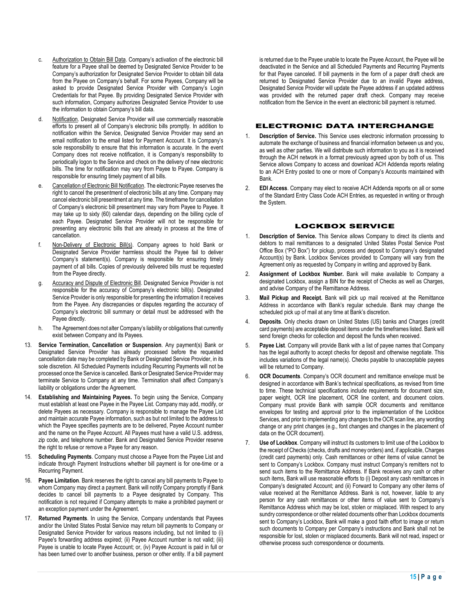- c. Authorization to Obtain Bill Data. Company's activation of the electronic bill feature for a Payee shall be deemed by Designated Service Provider to be Company's authorization for Designated Service Provider to obtain bill data from the Payee on Company's behalf. For some Payees, Company will be asked to provide Designated Service Provider with Company's Login Credentials for that Payee. By providing Designated Service Provider with such information, Company authorizes Designated Service Provider to use the information to obtain Company's bill data.
- Notification. Designated Service Provider will use commercially reasonable efforts to present all of Company's electronic bills promptly. In addition to notification within the Service, Designated Service Provider may send an email notification to the email listed for Payment Account. It is Company's sole responsibility to ensure that this information is accurate. In the event Company does not receive notification, it is Company's responsibility to periodically logon to the Service and check on the delivery of new electronic bills. The time for notification may vary from Payee to Payee. Company is responsible for ensuring timely payment of all bills.
- e. Cancellation of Electronic Bill Notification. The electronic Payee reserves the right to cancel the presentment of electronic bills at any time. Company may cancel electronic bill presentment at any time. The timeframe for cancellation of Company's electronic bill presentment may vary from Payee to Payee. It may take up to sixty (60) calendar days, depending on the billing cycle of each Payee. Designated Service Provider will not be responsible for presenting any electronic bills that are already in process at the time of cancellation.
- f. Non-Delivery of Electronic Bill(s). Company agrees to hold Bank or Designated Service Provider harmless should the Payee fail to deliver Company's statement(s). Company is responsible for ensuring timely payment of all bills. Copies of previously delivered bills must be requested from the Payee directly.
- g. Accuracy and Dispute of Electronic Bill. Designated Service Provider is not responsible for the accuracy of Company's electronic bill(s). Designated Service Provider is only responsible for presenting the information it receives from the Payee. Any discrepancies or disputes regarding the accuracy of Company's electronic bill summary or detail must be addressed with the Payee directly.
- h. The Agreement does not alter Company's liability or obligations that currently exist between Company and its Payees.
- 13. **Service Termination, Cancellation or Suspension**. Any payment(s) Bank or Designated Service Provider has already processed before the requested cancellation date may be completed by Bank or Designated Service Provider, in its sole discretion. All Scheduled Payments including Recurring Payments will not be processed once the Service is cancelled. Bank or Designated Service Provider may terminate Service to Company at any time. Termination shall affect Company's liability or obligations under the Agreement.
- 14. **Establishing and Maintaining Payees.** To begin using the Service, Company must establish at least one Payee in the Payee List. Company may add, modify, or delete Payees as necessary. Company is responsible to manage the Payee List and maintain accurate Payee information, such as but not limited to the address to which the Payee specifies payments are to be delivered. Payee Account number and the name on the Payee Account. All Payees must have a valid U.S. address, zip code, and telephone number. Bank and Designated Service Provider reserve the right to refuse or remove a Payee for any reason.
- 15. **Scheduling Payments**. Company must choose a Payee from the Payee List and indicate through Payment Instructions whether bill payment is for one-time or a Recurring Payment.
- 16. **Payee Limitation**. Bank reserves the right to cancel any bill payments to Payee to whom Company may direct a payment. Bank will notify Company promptly if Bank decides to cancel bill payments to a Payee designated by Company. This notification is not required if Company attempts to make a prohibited payment or an exception payment under the Agreement.
- 17. **Returned Payments**. In using the Service, Company understands that Payees and/or the United States Postal Service may return bill payments to Company or Designated Service Provider for various reasons including, but not limited to (i) Payee's forwarding address expired; (ii) Payee Account number is not valid; (iii) Payee is unable to locate Payee Account; or, (iv) Payee Account is paid in full or has been turned over to another business, person or other entity. If a bill payment

is returned due to the Payee unable to locate the Payee Account, the Payee will be deactivated in the Service and all Scheduled Payments and Recurring Payments for that Payee canceled. If bill payments in the form of a paper draft check are returned to Designated Service Provider due to an invalid Payee address, Designated Service Provider will update the Payee address if an updated address was provided with the returned paper draft check. Company may receive notification from the Service in the event an electronic bill payment is returned.

# ELECTRONIC DATA INTERCHANGE

- 1. **Description of Service.** This Service uses electronic information processing to automate the exchange of business and financial information between us and you, as well as other parties. We will distribute such information to you as it is received through the ACH network in a format previously agreed upon by both of us. This Service allows Company to access and download ACH Addenda reports relating to an ACH Entry posted to one or more of Company's Accounts maintained with Bank.
- 2. **EDI Access**. Company may elect to receive ACH Addenda reports on all or some of the Standard Entry Class Code ACH Entries, as requested in writing or through the System.

# LOCKBOX SERVICE

- 1. **Description of Service.** This Service allows Company to direct its clients and debtors to mail remittances to a designated United States Postal Service Post Office Box ("PO Box") for pickup, process and deposit to Company's designated Account(s) by Bank. Lockbox Services provided to Company will vary from the Agreement only as requested by Company in writing and approved by Bank.
- 2. **Assignment of Lockbox Number.** Bank will make available to Company a designated Lockbox, assign a BIN for the receipt of Checks as well as Charges, and advise Company of the Remittance Address.
- 3. **Mail Pickup and Receipt.** Bank will pick up mail received at the Remittance Address in accordance with Bank's regular schedule. Bank may change the scheduled pick up of mail at any time at Bank's discretion.
- 4. **Deposits**. Only checks drawn on United States (US) banks and Charges (credit card payments) are acceptable deposit items under the timeframes listed. Bank will send foreign checks for collection and deposit the funds when received.
- 5. **Payee List**. Company will provide Bank with a list of payee names that Company has the legal authority to accept checks for deposit and otherwise negotiate. This includes variations of the legal name(s). Checks payable to unacceptable payees will be returned to Company.
- 6. **OCR Documents**. Company's OCR document and remittance envelope must be designed in accordance with Bank's technical specifications, as revised from time to time. These technical specifications include requirements for document size, paper weight, OCR line placement, OCR line content, and document colors. Company must provide Bank with sample OCR documents and remittance envelopes for testing and approval prior to the implementation of the Lockbox Services, and prior to implementing any changes to the OCR scan line, any wording change or any print changes (e.g., font changes and changes in the placement of data on the OCR document).
- 7. **Use of Lockbox**. Company will instruct its customers to limit use of the Lockbox to the receipt of Checks (checks, drafts and money orders) and, if applicable, Charges (credit card payments) only. Cash remittances or other items of value cannot be sent to Company's Lockbox. Company must instruct Company's remitters not to send such items to the Remittance Address. If Bank receives any cash or other such items, Bank will use reasonable efforts to (i) Deposit any cash remittances in Company's designated Account; and (ii) Forward to Company any other items of value received at the Remittance Address. Bank is not, however, liable to any person for any cash remittances or other items of value sent to Company's Remittance Address which may be lost, stolen or misplaced. With respect to any sundry correspondence or other related documents other than Lockbox documents sent to Company's Lockbox, Bank will make a good faith effort to image or return such documents to Company per Company's instructions and Bank shall not be responsible for lost, stolen or misplaced documents. Bank will not read, inspect or otherwise process such correspondence or documents.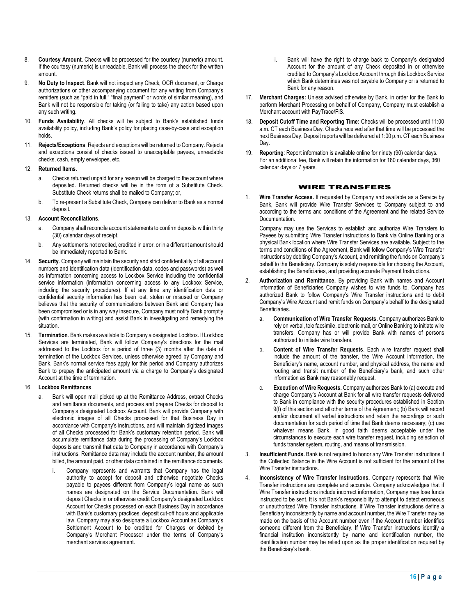- 8. **Courtesy Amount**. Checks will be processed for the courtesy (numeric) amount. If the courtesy (numeric) is unreadable, Bank will process the check for the written amount.
- 9. **No Duty to Inspect**. Bank will not inspect any Check, OCR document, or Charge authorizations or other accompanying document for any writing from Company's remitters (such as "paid in full," "final payment" or words of similar meaning), and Bank will not be responsible for taking (or failing to take) any action based upon any such writing.
- 10. **Funds Availability**. All checks will be subject to Bank's established funds availability policy, including Bank's policy for placing case-by-case and exception holds.
- 11. **Rejects/Exceptions**. Rejects and exceptions will be returned to Company. Rejects and exceptions consist of checks issued to unacceptable payees, unreadable checks, cash, empty envelopes, etc.

## 12. **Returned Items**.

- a. Checks returned unpaid for any reason will be charged to the account where deposited. Returned checks will be in the form of a Substitute Check. Substitute Check returns shall be mailed to Company; or,
- b. To re-present a Substitute Check, Company can deliver to Bank as a normal deposit.

#### 13. **Account Reconciliations**.

- a. Company shall reconcile account statements to confirm deposits within thirty (30) calendar days of receipt.
- b. Any settlements not credited, credited in error, or in a different amount should be immediately reported to Bank.
- 14. **Security**. Company will maintain the security and strict confidentiality of all account numbers and identification data (identification data, codes and passwords) as well as information concerning access to Lockbox Service including the confidential service information (information concerning access to any Lockbox Service, including the security procedures). If at any time any identification data or confidential security information has been lost, stolen or misused or Company believes that the security of communications between Bank and Company has been compromised or is in any way insecure, Company must notify Bank promptly (with confirmation in writing) and assist Bank in investigating and remedying the situation.
- **Termination**. Bank makes available to Company a designated Lockbox. If Lockbox Services are terminated, Bank will follow Company's directions for the mail addressed to the Lockbox for a period of three (3) months after the date of termination of the Lockbox Services, unless otherwise agreed by Company and Bank. Bank's normal service fees apply for this period and Company authorizes Bank to prepay the anticipated amount via a charge to Company's designated Account at the time of termination.

## 16. **Lockbox Remittances**.

- a. Bank will open mail picked up at the Remittance Address, extract Checks and remittance documents, and process and prepare Checks for deposit to Company's designated Lockbox Account. Bank will provide Company with electronic images of all Checks processed for that Business Day in accordance with Company's instructions, and will maintain digitized images of all Checks processed for Bank's customary retention period. Bank will accumulate remittance data during the processing of Company's Lockbox deposits and transmit that data to Company in accordance with Company's instructions. Remittance data may include the account number, the amount billed, the amount paid, or other data contained in the remittance documents.
	- Company represents and warrants that Company has the legal authority to accept for deposit and otherwise negotiate Checks payable to payees different from Company's legal name as such names are designated on the Service Documentation. Bank will deposit Checks in or otherwise credit Company's designated Lockbox Account for Checks processed on each Business Day in accordance with Bank's customary practices, deposit cut-off hours and applicable law. Company may also designate a Lockbox Account as Company's Settlement Account to be credited for Charges or debited by Company's Merchant Processor under the terms of Company's merchant services agreement.
- Bank will have the right to charge back to Company's designated Account for the amount of any Check deposited in or otherwise credited to Company's Lockbox Account through this Lockbox Service which Bank determines was not payable to Company or is returned to Bank for any reason.
- 17. **Merchant Charges:** Unless advised otherwise by Bank, in order for the Bank to perform Merchant Processing on behalf of Company, Company must establish a .<br>Merchant account with PayTrace/FIS.
- 18. **Deposit Cutoff Time and Reporting Time:** Checks will be processed until 11:00 a.m. CT each Business Day. Checks received after that time will be processed the next Business Day. Deposit reports will be delivered at 1:00 p.m. CT each Business Day.
- 19. **Reporting**: Report information is available online for ninety (90) calendar days. For an additional fee, Bank will retain the information for 180 calendar days, 360 calendar days or 7 years.

# WIRE TRANSFERS

1. **Wire Transfer Access.** If requested by Company and available as a Service by Bank, Bank will provide Wire Transfer Services to Company subject to and according to the terms and conditions of the Agreement and the related Service Documentation.

Company may use the Services to establish and authorize Wire Transfers to Payees by submitting Wire Transfer instructions to Bank via Online Banking or a physical Bank location where Wire Transfer Services are available. Subject to the terms and conditions of the Agreement, Bank will follow Company's Wire Transfer instructions by debiting Company's Account, and remitting the funds on Company's behalf to the Beneficiary. Company is solely responsible for choosing the Account, establishing the Beneficiaries, and providing accurate Payment Instructions.

- 2. **Authorization and Remittance.** By providing Bank with names and Account information of Beneficiaries Company wishes to wire funds to, Company has authorized Bank to follow Company's Wire Transfer instructions and to debit Company's Wire Account and remit funds on Company's behalf to the designated Beneficiaries.
	- a. **Communication of Wire Transfer Requests.** Company authorizes Bank to rely on verbal, tele facsimile, electronic mail, or Online Banking to initiate wire transfers. Company has or will provide Bank with names of persons authorized to initiate wire transfers.
	- b. **Content of Wire Transfer Requests**. Each wire transfer request shall include the amount of the transfer, the Wire Account information, the Beneficiary's name, account number, and physical address, the name and routing and transit number of the Beneficiary's bank, and such other information as Bank may reasonably request.
	- c. **Execution of Wire Requests.** Company authorizes Bank to (a) execute and charge Company's Account at Bank for all wire transfer requests delivered to Bank in compliance with the security procedures established in Section 9(f) of this section and all other terms of the Agreement; (b) Bank will record and/or document all verbal instructions and retain the recordings or such documentation for such period of time that Bank deems necessary; (c) use whatever means Bank, in good faith deems acceptable under the circumstances to execute each wire transfer request, including selection of funds transfer system, routing, and means of transmission.
- 3. **Insufficient Funds.** Bank is not required to honor any Wire Transfer instructions if the Collected Balance in the Wire Account is not sufficient for the amount of the Wire Transfer instructions.
- 4. **Inconsistency of Wire Transfer Instructions.** Company represents that Wire Transfer instructions are complete and accurate. Company acknowledges that if Wire Transfer instructions include incorrect information, Company may lose funds instructed to be sent. It is not Bank's responsibility to attempt to detect erroneous or unauthorized Wire Transfer instructions. If Wire Transfer instructions define a Beneficiary inconsistently by name and account number, the Wire Transfer may be made on the basis of the Account number even if the Account number identifies someone different from the Beneficiary. If Wire Transfer instructions identify a financial institution inconsistently by name and identification number, the identification number may be relied upon as the proper identification required by the Beneficiary's bank.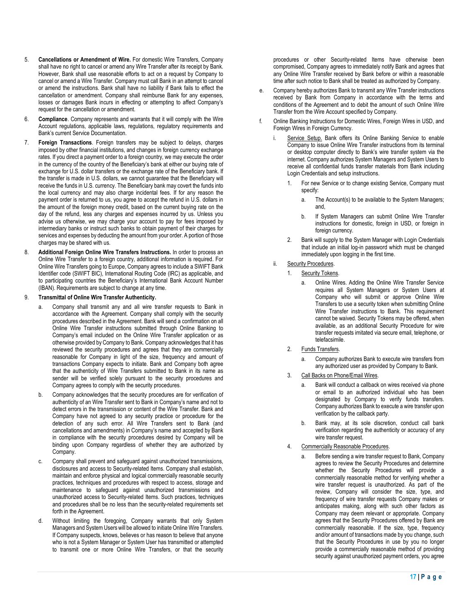- 5. **Cancellations or Amendment of Wire.** For domestic Wire Transfers, Company shall have no right to cancel or amend any Wire Transfer after its receipt by Bank. However, Bank shall use reasonable efforts to act on a request by Company to cancel or amend a Wire Transfer. Company must call Bank in an attempt to cancel or amend the instructions. Bank shall have no liability if Bank fails to effect the cancellation or amendment. Company shall reimburse Bank for any expenses, losses or damages Bank incurs in effecting or attempting to affect Company's request for the cancellation or amendment.
- 6. **Compliance**. Company represents and warrants that it will comply with the Wire Account regulations, applicable laws, regulations, regulatory requirements and Bank's current Service Documentation.
- 7. **Foreign Transactions**. Foreign transfers may be subject to delays, charges imposed by other financial institutions, and changes in foreign currency exchange rates. If you direct a payment order to a foreign country, we may execute the order in the currency of the country of the Beneficiary's bank at either our buying rate of exchange for U.S. dollar transfers or the exchange rate of the Beneficiary bank. If the transfer is made in U.S. dollars, we cannot guarantee that the Beneficiary will receive the funds in U.S. currency. The Beneficiary bank may covert the funds into the local currency and may also charge incidental fees. If for any reason the payment order is returned to us, you agree to accept the refund in U.S. dollars in the amount of the foreign money credit, based on the current buying rate on the day of the refund, less any charges and expenses incurred by us. Unless you advise us otherwise, we may charge your account to pay for fees imposed by intermediary banks or instruct such banks to obtain payment of their charges for services and expenses by deducting the amount from your order. A portion of those charges may be shared with us.
- 8. **Additional Foreign Online Wire Transfers Instructions.** In order to process an Online Wire Transfer to a foreign country, additional information is required. For Online Wire Transfers going to Europe, Company agrees to include a SWIFT Bank Identifier code (SWIFT BIC), International Routing Code (IRC) as applicable, and to participating countries the Beneficiary's International Bank Account Number (IBAN). Requirements are subject to change at any time.

#### 9. **Transmittal of Online Wire Transfer Authenticity.**

- a. Company shall transmit any and all wire transfer requests to Bank in accordance with the Agreement. Company shall comply with the security procedures described in the Agreement. Bank will send a confirmation on all Online Wire Transfer instructions submitted through Online Banking to Company's email included on the Online Wire Transfer application or as otherwise provided by Company to Bank. Company acknowledges that it has reviewed the security procedures and agrees that they are commercially reasonable for Company in light of the size, frequency and amount of transactions Company expects to initiate. Bank and Company both agree that the authenticity of Wire Transfers submitted to Bank in its name as sender will be verified solely pursuant to the security procedures and Company agrees to comply with the security procedures.
- b. Company acknowledges that the security procedures are for verification of authenticity of an Wire Transfer sent to Bank in Company's name and not to detect errors in the transmission or content of the Wire Transfer. Bank and Company have not agreed to any security practice or procedure for the detection of any such error. All Wire Transfers sent to Bank (and cancellations and amendments) in Company's name and accepted by Bank in compliance with the security procedures desired by Company will be binding upon Company regardless of whether they are authorized by **Company**
- c. Company shall prevent and safeguard against unauthorized transmissions, disclosures and access to Security-related Items. Company shall establish, maintain and enforce physical and logical commercially reasonable security practices, techniques and procedures with respect to access, storage and maintenance to safeguard against unauthorized transmissions and unauthorized access to Security-related Items. Such practices, techniques and procedures shall be no less than the security-related requirements set forth in the Agreement.
- d. Without limiting the foregoing, Company warrants that only System Managers and System Users will be allowed to initiate Online Wire Transfers. If Company suspects, knows, believes or has reason to believe that anyone who is not a System Manager or System User has transmitted or attempted to transmit one or more Online Wire Transfers, or that the security

procedures or other Security-related Items have otherwise been compromised, Company agrees to immediately notify Bank and agrees that any Online Wire Transfer received by Bank before or within a reasonable time after such notice to Bank shall be treated as authorized by Company.

- e. Company hereby authorizes Bank to transmit any Wire Transfer instructions received by Bank from Company in accordance with the terms and conditions of the Agreement and to debit the amount of such Online Wire Transfer from the Wire Account specified by Company.
- Online Banking Instructions for Domestic Wires, Foreign Wires in USD, and Foreign Wires in Foreign Currency.
	- Service Setup. Bank offers its Online Banking Service to enable Company to issue Online Wire Transfer instructions from its terminal or desktop computer directly to Bank's wire transfer system via the internet. Company authorizes System Managers and System Users to receive all confidential funds transfer materials from Bank including Login Credentials and setup instructions.
		- 1. For new Service or to change existing Service, Company must specify:
			- a. The Account(s) to be available to the System Managers; and,
			- b. If System Managers can submit Online Wire Transfer instructions for domestic, foreign in USD, or foreign in foreign currency.
		- 2. Bank will supply to the System Manager with Login Credentials that include an initial log-in password which must be changed immediately upon logging in the first time.
	- ii. Security Procedures.
		- 1. Security Tokens.
			- a. Online Wires. Adding the Online Wire Transfer Service requires all System Managers or System Users at Company who will submit or approve Online Wire Transfers to use a security token when submitting Online Wire Transfer instructions to Bank. This requirement cannot be waived. Security Tokens may be offered, when available, as an additional Security Procedure for wire transfer requests imitated via secure email, telephone, or telefacsimile.
		- 2. Funds Transfers.
			- a. Company authorizes Bank to execute wire transfers from any authorized user as provided by Company to Bank.
		- 3. Call Backs on Phone/Email Wires.
			- a. Bank will conduct a callback on wires received via phone or email to an authorized individual who has been designated by Company to verify funds transfers. Company authorizes Bank to execute a wire transfer upon verification by the callback party.
			- b. Bank may, at its sole discretion, conduct call bank verification regarding the authenticity or accuracy of any wire transfer request.
		- 4. Commercially Reasonable Procedures.
			- a. Before sending a wire transfer request to Bank, Company agrees to review the Security Procedures and determine whether the Security Procedures will provide a commercially reasonable method for verifying whether a wire transfer request is unauthorized. As part of the review, Company will consider the size, type, and frequency of wire transfer requests Company makes or anticipates making, along with such other factors as Company may deem relevant or appropriate. Company agrees that the Security Procedures offered by Bank are commercially reasonable. If the size, type, frequency and/or amount of transactions made by you change, such that the Security Procedures in use by you no longer provide a commercially reasonable method of providing security against unauthorized payment orders, you agree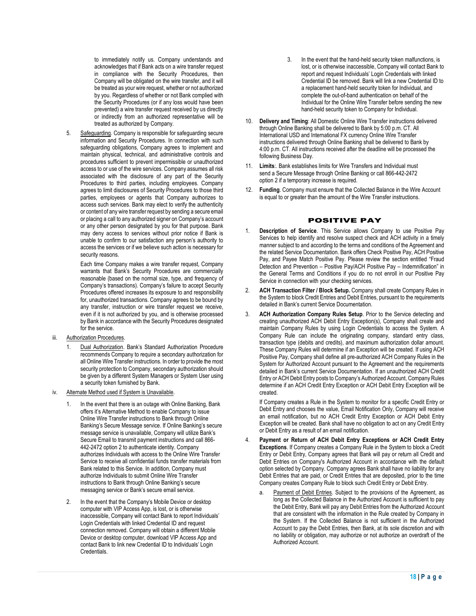to immediately notify us. Company understands and acknowledges that if Bank acts on a wire transfer request in compliance with the Security Procedures, then Company will be obligated on the wire transfer, and it will be treated as your wire request, whether or not authorized by you. Regardless of whether or not Bank complied with the Security Procedures (or if any loss would have been prevented) a wire transfer request received by us directly or indirectly from an authorized representative will be treated as authorized by Company.

5. Safeguarding. Company is responsible for safeguarding secure information and Security Procedures. In connection with such safeguarding obligations, Company agrees to implement and maintain physical, technical, and administrative controls and procedures sufficient to prevent impermissible or unauthorized access to or use of the wire services. Company assumes all risk associated with the disclosure of any part of the Security Procedures to third parties, including employees. Company agrees to limit disclosures of Security Procedures to those third parties, employees or agents that Company authorizes to access such services. Bank may elect to verify the authenticity or content of any wire transfer request by sending a secure email or placing a call to any authorized signer on Company's account or any other person designated by you for that purpose. Bank may deny access to services without prior notice if Bank is unable to confirm to our satisfaction any person's authority to access the services or if we believe such action is necessary for security reasons.

Each time Company makes a wire transfer request, Company warrants that Bank's Security Procedures are commercially reasonable (based on the normal size, type, and frequency of Company's transactions). Company's failure to accept Security Procedures offered increases its exposure to and responsibility for, unauthorized transactions. Company agrees to be bound by any transfer, instruction or wire transfer request we receive, even if it is not authorized by you, and is otherwise processed by Bank in accordance with the Security Procedures designated for the service.

- iii. Authorization Procedures.
	- 1. Dual Authorization. Bank's Standard Authorization Procedure recommends Company to require a secondary authorization for all Online Wire Transfer instructions. In order to provide the most security protection to Company, secondary authorization should be given by a different System Managers or System User using a security token furnished by Bank.
- iv. Alternate Method used if System is Unavailable.
	- In the event that there is an outage with Online Banking, Bank offers it's Alternative Method to enable Company to issue Online Wire Transfer instructions to Bank through Online Banking's Secure Message service. If Online Banking's secure message service is unavailable, Company will utilize Bank's Secure Email to transmit payment instructions and call 866- 442-2472 option 2 to authenticate identity. Company authorizes Individuals with access to the Online Wire Transfer Service to receive all confidential funds transfer materials from Bank related to this Service. In addition, Company must authorize Individuals to submit Online Wire Transfer instructions to Bank through Online Banking's secure messaging service or Bank's secure email service.
	- 2. In the event that the Company's Mobile Device or desktop computer with VIP Access App, is lost, or is otherwise inaccessible, Company will contact Bank to report Individuals' Login Credentials with linked Credential ID and request connection removed. Company will obtain a different Mobile Device or desktop computer, download VIP Access App and contact Bank to link new Credential ID to Individuals' Login Credentials.
- 3. In the event that the hand-held security token malfunctions, is lost, or is otherwise inaccessible, Company will contact Bank to report and request Individuals' Login Credentials with linked Credential ID be removed. Bank will link a new Credential ID to a replacement hand-held security token for Individual, and complete the out-of-band authentication on behalf of the Individual for the Online Wire Transfer before sending the new hand-held security token to Company for Individual.
- 10. **Delivery and Timing**: All Domestic Online Wire Transfer instructions delivered through Online Banking shall be delivered to Bank by 5:00 p.m. CT. All International USD and International FX currency Online Wire Transfer instructions delivered through Online Banking shall be delivered to Bank by 4:00 p.m. CT. All instructions received after the deadline will be processed the following Business Day.
- 11. **Limits**:. Bank establishes limits for Wire Transfers and Individual must send a Secure Message through Online Banking or call 866-442-2472 option 2 if a temporary increase is required.
- 12. **Funding**. Company must ensure that the Collected Balance in the Wire Account is equal to or greater than the amount of the Wire Transfer instructions.

# POSITIVE PAY

- 1. **Description of Service**. This Service allows Company to use Positive Pay Services to help identify and resolve suspect check and ACH activity in a timely manner subject to and according to the terms and conditions of the Agreement and the related Service Documentation. Bank offers Check Positive Pay, ACH Positive Pay, and Payee Match Positive Pay. Please review the section entitled "Fraud Detection and Prevention – Positive Pay/ACH Positive Pay – Indemnification" in the General Terms and Conditions if you do no not enroll in our Positive Pay Service in connection with your checking services.
- 2. **ACH Transaction Filter / Block Setup.** Company shall create Company Rules in the System to block Credit Entries and Debit Entries, pursuant to the requirements detailed in Bank's current Service Documentation.
- 3. **ACH Authorization Company Rules Setup**. Prior to the Service detecting and creating unauthorized ACH Debit Entry Exception(s), Company shall create and maintain Company Rules by using Login Credentials to access the System. A Company Rule can include the originating company, standard entry class, transaction type (debits and credits), and maximum authorization dollar amount. These Company Rules will determine if an Exception will be created. If using ACH Positive Pay, Company shall define all pre-authorized ACH Company Rules in the System for Authorized Account pursuant to the Agreement and the requirements detailed in Bank's current Service Documentation. If an unauthorized ACH Credit Entry or ACH Debit Entry posts to Company's Authorized Account, Company Rules determine if an ACH Credit Entry Exception or ACH Debit Entry Exception will be created.

If Company creates a Rule in the System to monitor for a specific Credit Entry or Debit Entry and chooses the value, Email Notification Only, Company will receive an email notification, but no ACH Credit Entry Exception or ACH Debit Entry Exception will be created. Bank shall have no obligation to act on any Credit Entry or Debit Entry as a result of an email notification.

- 4. **Payment or Return of ACH Debit Entry Exceptions or ACH Credit Entry Exceptions**. If Company creates a Company Rule in the System to block a Credit Entry or Debit Entry, Company agrees that Bank will pay or return all Credit and Debit Entries on Company's Authorized Account in accordance with the default option selected by Company. Company agrees Bank shall have no liability for any Debit Entries that are paid, or Credit Entries that are deposited, prior to the time Company creates Company Rule to block such Credit Entry or Debit Entry.
	- Payment of Debit Entries. Subject to the provisions of the Agreement, as long as the Collected Balance in the Authorized Account is sufficient to pay the Debit Entry, Bank will pay any Debit Entries from the Authorized Account that are consistent with the information in the Rule created by Company in the System. If the Collected Balance is not sufficient in the Authorized Account to pay the Debit Entries, then Bank, at its sole discretion and with no liability or obligation, may authorize or not authorize an overdraft of the Authorized Account.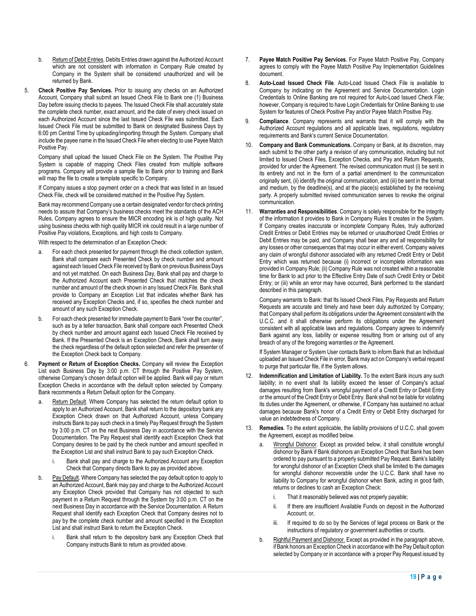- b. Return of Debit Entries. Debits Entries drawn against the Authorized Account which are not consistent with information in Company Rule created by Company in the System shall be considered unauthorized and will be returned by Bank.
- 5. **Check Positive Pay Services.** Prior to issuing any checks on an Authorized Account, Company shall submit an Issued Check File to Bank one (1) Business Day before issuing checks to payees. The Issued Check File shall accurately state the complete check number, exact amount, and the date of every check issued on each Authorized Account since the last Issued Check File was submitted. Each Issued Check File must be submitted to Bank on designated Business Days by 6:00 pm Central Time by uploading/importing through the System. Company shall include the payee name in the Issued Check File when electing to use Payee Match Positive Pay.

Company shall upload the Issued Check File on the System. The Positive Pay System is capable of mapping Check Files created from multiple software programs. Company will provide a sample file to Bank prior to training and Bank will map the file to create a template specific to Company.

If Company issues a stop payment order on a check that was listed in an Issued Check File, check will be considered matched in the Positive Pay System.

Bank may recommend Company use a certain designated vendor for check printing needs to assure that Company's business checks meet the standards of the ACH Rules. Company agrees to ensure the MICR encoding ink is of high quality. Not using business checks with high quality MICR ink could result in a large number of Positive Pay violations, Exceptions, and high costs to Company.

With respect to the determination of an Exception Check:

- For each check presented for payment through the check collection system, Bank shall compare each Presented Check by check number and amount against each Issued Check File received by Bank on previous Business Days and not yet matched. On each Business Day, Bank shall pay and charge to the Authorized Account each Presented Check that matches the check number and amount of the check shown in any Issued Check File. Bank shall provide to Company an Exception List that indicates whether Bank has received any Exception Checks and, if so, specifies the check number and amount of any such Exception Check.
- b. For each check presented for immediate payment to Bank "over the counter", such as by a teller transaction, Bank shall compare each Presented Check by check number and amount against each Issued Check File received by Bank. If the Presented Check is an Exception Check, Bank shall turn away the check regardless of the default option selected and refer the presenter of the Exception Check back to Company.
- 6. **Payment or Return of Exception Checks.** Company will review the Exception List each Business Day by 3:00 p.m. CT through the Positive Pay System, otherwise Company's chosen default option will be applied. Bank will pay or return Exception Checks in accordance with the default option selected by Company. Bank recommends a Return Default option for the Company.
	- Return Default. Where Company has selected the return default option to apply to an Authorized Account, Bank shall return to the depository bank any Exception Check drawn on that Authorized Account, unless Company instructs Bank to pay such check in a timely Pay Request through the System by 3:00 p.m. CT on the next Business Day in accordance with the Service Documentation. The Pay Request shall identify each Exception Check that Company desires to be paid by the check number and amount specified in the Exception List and shall instruct Bank to pay such Exception Check.
		- i. Bank shall pay and charge to the Authorized Account any Exception Check that Company directs Bank to pay as provided above.
	- b. Pay Default. Where Company has selected the pay default option to apply to an Authorized Account, Bank may pay and charge to the Authorized Account any Exception Check provided that Company has not objected to such payment in a Return Request through the System by 3:00 p.m. CT on the next Business Day in accordance with the Service Documentation. A Return Request shall identify each Exception Check that Company desires not to pay by the complete check number and amount specified in the Exception List and shall instruct Bank to return the Exception Check.
		- Bank shall return to the depository bank any Exception Check that Company instructs Bank to return as provided above.
- 7. **Payee Match Positive Pay Services**. For Payee Match Positive Pay, Company agrees to comply with the Payee Match Positive Pay Implementation Guidelines document.
- 8. **Auto-Load Issued Check File**. Auto-Load Issued Check File is available to Company by indicating on the Agreement and Service Documentation. Login Credentials to Online Banking are not required for Auto-Load Issued Check File; however, Company is required to have Login Credentials for Online Banking to use System for features of Check Positive Pay and/or Payee Match Positive Pay.
- 9. **Compliance**. Company represents and warrants that it will comply with the Authorized Account regulations and all applicable laws, regulations, regulatory requirements and Bank's current Service Documentation.
- 10. **Company and Bank Communications.** Company or Bank, at its discretion, may each submit to the other party a revision of any communication, including but not limited to Issued Check Files, Exception Checks, and Pay and Return Requests, provided for under the Agreement. The revised communication must (i) be sent in its entirety and not in the form of a partial amendment to the communication originally sent, (ii) identify the original communication, and (iii) be sent in the format and medium, by the deadline(s), and at the place(s) established by the receiving party. A properly submitted revised communication serves to revoke the original communication.
- 11. **Warranties and Responsibilities**. Company is solely responsible for the integrity of the information it provides to Bank in Company Rules It creates in the System. If Company creates inaccurate or incomplete Company Rules, truly authorized Credit Entries or Debit Entries may be returned or unauthorized Credit Entries or Debit Entries may be paid, and Company shall bear any and all responsibility for any losses or other consequences that may occur in either event. Company waives any claim of wrongful dishonor associated with any returned Credit Entry or Debit Entry which was returned because (i) incorrect or incomplete information was provided in Company Rule; (ii) Company Rule was not created within a reasonable time for Bank to act prior to the Effective Entry Date of such Credit Entry or Debit Entry; or (iii) while an error may have occurred, Bank performed to the standard described in this paragraph.

Company warrants to Bank: that Its Issued Check Files, Pay Requests and Return Requests are accurate and timely and have been duly authorized by Company; that Company shall perform its obligations under the Agreement consistent with the U.C.C. and it shall otherwise perform its obligations under the Agreement consistent with all applicable laws and regulations. Company agrees to indemnify Bank against any loss, liability or expense resulting from or arising out of any breach of any of the foregoing warranties or the Agreement.

If System Manager or System User contacts Bank to inform Bank that an Individual uploaded an Issued Check File in error, Bank may act on Company's verbal request to purge that particular file, if the System allows.

- Indemnification and Limitation of Liability. To the extent Bank incurs any such liability; in no event shall its liability exceed the lesser of Company's actual damages resulting from Bank's wrongful payment of a Credit Entry or Debit Entry or the amount of the Credit Entry or Debit Entry. Bank shall not be liable for violating its duties under the Agreement, or otherwise, if Company has sustained no actual damages because Bank's honor of a Credit Entry or Debit Entry discharged for value an indebtedness of Company.
- 13. **Remedies**. To the extent applicable, the liability provisions of U.C.C. shall govern the Agreement, except as modified below.
	- a. Wrongful Dishonor. Except as provided below, it shall constitute wrongful dishonor by Bank if Bank dishonors an Exception Check that Bank has been ordered to pay pursuant to a properly submitted Pay Request. Bank's liability for wrongful dishonor of an Exception Check shall be limited to the damages for wrongful dishonor recoverable under the U.C.C. Bank shall have no liability to Company for wrongful dishonor when Bank, acting in good faith, returns or declines to cash an Exception Check:
		- i. That it reasonably believed was not properly payable;
		- ii. If there are insufficient Available Funds on deposit in the Authorized Account; or,
		- iii. If required to do so by the Services of legal process on Bank or the instructions of regulatory or government authorities or courts.
	- b. Rightful Payment and Dishonor. Except as provided in the paragraph above, if Bank honors an Exception Check in accordance with the Pay Default option selected by Company or in accordance with a proper Pay Request issued by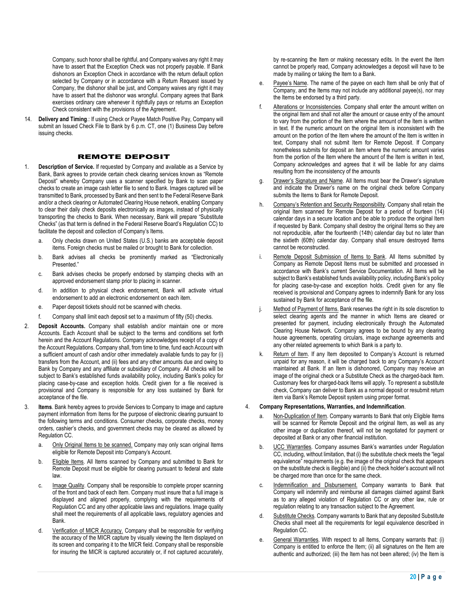Company, such honor shall be rightful, and Company waives any right it may have to assert that the Exception Check was not properly payable. If Bank dishonors an Exception Check in accordance with the return default option selected by Company or in accordance with a Return Request issued by Company, the dishonor shall be just, and Company waives any right it may have to assert that the dishonor was wrongful. Company agrees that Bank exercises ordinary care whenever it rightfully pays or returns an Exception Check consistent with the provisions of the Agreement.

14. **Delivery and Timing**.: If using Check or Payee Match Positive Pay, Company will submit an Issued Check File to Bank by 6 p.m. CT, one (1) Business Day before issuing checks.

# REMOTE DEPOSIT

- 1. **Description of Service.** If requested by Company and available as a Service by Bank, Bank agrees to provide certain check clearing services known as "Remote Deposit" whereby Company uses a scanner specified by Bank to scan paper checks to create an image cash letter file to send to Bank. Images captured will be transmitted to Bank, processed by Bank and then sent to the Federal Reserve Bank and/or a check clearing or Automated Clearing House network, enabling Company to clear their daily check deposits electronically as images, instead of physically transporting the checks to Bank. When necessary, Bank will prepare "Substitute Checks" (as that term is defined in the Federal Reserve Board's Regulation CC) to facilitate the deposit and collection of Company's Items.
	- a. Only checks drawn on United States (U.S.) banks are acceptable deposit items. Foreign checks must be mailed or brought to Bank for collection.
	- b. Bank advises all checks be prominently marked as "Electronically Presented<sup>"</sup>
	- c. Bank advises checks be properly endorsed by stamping checks with an approved endorsement stamp prior to placing in scanner.
	- d. In addition to physical check endorsement, Bank will activate virtual endorsement to add an electronic endorsement on each item.
	- e. Paper deposit tickets should not be scanned with checks.
	- Company shall limit each deposit set to a maximum of fifty (50) checks.
- 2. **Deposit Accounts.** Company shall establish and/or maintain one or more Accounts. Each Account shall be subject to the terms and conditions set forth herein and the Account Regulations. Company acknowledges receipt of a copy of the Account Regulations. Company shall, from time to time, fund each Account with a sufficient amount of cash and/or other immediately available funds to pay for (i) transfers from the Account, and (ii) fees and any other amounts due and owing to Bank by Company and any affiliate or subsidiary of Company. All checks will be subject to Bank's established funds availability policy, including Bank's policy for placing case-by-case and exception holds. Credit given for a file received is provisional and Company is responsible for any loss sustained by Bank for acceptance of the file.
- **Items**. Bank hereby agrees to provide Services to Company to image and capture payment information from Items for the purpose of electronic clearing pursuant to the following terms and conditions. Consumer checks, corporate checks, money orders, cashier's checks, and government checks may be cleared as allowed by Regulation CC.
	- a. Only Original Items to be scanned. Company may only scan original Items eligible for Remote Deposit into Company's Account.
	- b. Eligible Items. All Items scanned by Company and submitted to Bank for Remote Deposit must be eligible for clearing pursuant to federal and state law.
	- c. Image Quality. Company shall be responsible to complete proper scanning of the front and back of each Item. Company must insure that a full image is displayed and aligned properly, complying with the requirements of Regulation CC and any other applicable laws and regulations. Image quality shall meet the requirements of all applicable laws, regulatory agencies and **Bank**
	- d. Verification of MICR Accuracy. Company shall be responsible for verifying the accuracy of the MICR capture by visually viewing the Item displayed on its screen and comparing it to the MICR field. Company shall be responsible for insuring the MICR is captured accurately or, if not captured accurately,

by re-scanning the Item or making necessary edits. In the event the Item cannot be properly read, Company acknowledges a deposit will have to be made by mailing or taking the Item to a Bank.

- e. Payee's Name. The name of the payee on each Item shall be only that of Company, and the Items may not include any additional payee(s), nor may the Items be endorsed by a third party.
- f. Alterations or Inconsistencies. Company shall enter the amount written on the original Item and shall not alter the amount or cause entry of the amount to vary from the portion of the Item where the amount of the Item is written in text. If the numeric amount on the original Item is inconsistent with the amount on the portion of the Item where the amount of the Item is written in text, Company shall not submit Item for Remote Deposit. If Company nonetheless submits for deposit an Item where the numeric amount varies from the portion of the Item where the amount of the Item is written in text, Company acknowledges and agrees that it will be liable for any claims resulting from the inconsistency of the amounts
- g. Drawer's Signature and Name. All Items must bear the Drawer's signature and indicate the Drawer's name on the original check before Company submits the Items to Bank for Remote Deposit.
- h. Company's Retention and Security Responsibility. Company shall retain the original Item scanned for Remote Deposit for a period of fourteen (14) calendar days in a secure location and be able to produce the original Item if requested by Bank. Company shall destroy the original Items so they are not reproducible, after the fourteenth (14th) calendar day but no later than the sixtieth (60th) calendar day. Company shall ensure destroyed Items cannot be reconstructed.
- Remote Deposit Submission of Items to Bank. All Items submitted by Company as Remote Deposit Items must be submitted and processed in accordance with Bank's current Service Documentation. All Items will be subject to Bank's established funds availability policy, including Bank's policy for placing case-by-case and exception holds. Credit given for any file received is provisional and Company agrees to indemnify Bank for any loss sustained by Bank for acceptance of the file.
- Method of Payment of Items. Bank reserves the right in its sole discretion to select clearing agents and the manner in which Items are cleared or presented for payment, including electronically through the Automated Clearing House Network. Company agrees to be bound by any clearing house agreements, operating circulars, image exchange agreements and any other related agreements to which Bank is a party to.
- Return of Item. If any Item deposited to Company's Account is returned unpaid for any reason, it will be charged back to any Company's Account maintained at Bank. If an Item is dishonored, Company may receive an image of the original check or a Substitute Check as the charged-back Item. Customary fees for charged-back Items will apply. To represent a substitute check, Company can deliver to Bank as a normal deposit or resubmit return item via Bank's Remote Deposit system using proper format.

# 4. **Company Representations, Warranties, and Indemnification**.

- a. Non-Duplication of Item. Company warrants to Bank that only Eligible Items will be scanned for Remote Deposit and the original Item, as well as any other image or duplication thereof, will not be negotiated for payment or deposited at Bank or any other financial institution.
- b. UCC Warranties. Company assumes Bank's warranties under Regulation CC, including, without limitation, that (i) the substitute check meets the "legal equivalence" requirements (e.g. the image of the original check that appears on the substitute check is illegible) and (ii) the check holder's account will not be charged more than once for the same check.
- c. Indemnification and Disbursement. Company warrants to Bank that Company will indemnify and reimburse all damages claimed against Bank as to any alleged violation of Regulation CC or any other law, rule or regulation relating to any transaction subject to the Agreement.
- d. Substitute Checks. Company warrants to Bank that any deposited Substitute Checks shall meet all the requirements for legal equivalence described in Regulation CC.
- General Warranties. With respect to all Items, Company warrants that: (i) Company is entitled to enforce the Item; (ii) all signatures on the Item are authentic and authorized; (iii) the Item has not been altered; (iv) the Item is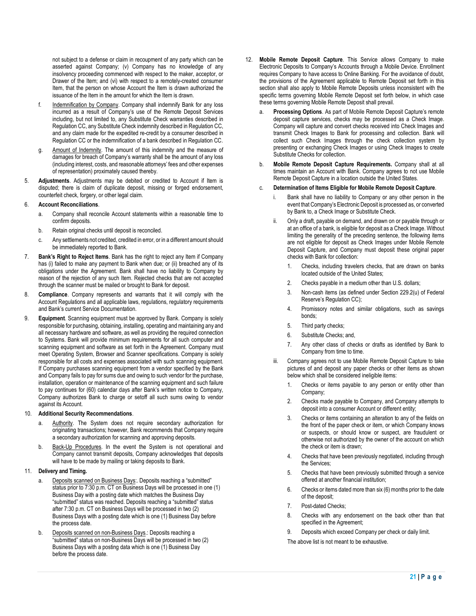not subject to a defense or claim in recoupment of any party which can be asserted against Company; (v) Company has no knowledge of any insolvency proceeding commenced with respect to the maker, acceptor, or Drawer of the Item; and (vi) with respect to a remotely-created consumer Item, that the person on whose Account the Item is drawn authorized the issuance of the Item in the amount for which the Item is drawn.

- f. **Indemnification by Company.** Company shall indemnify Bank for any loss incurred as a result of Company's use of the Remote Deposit Services including, but not limited to, any Substitute Check warranties described in Regulation CC, any Substitute Check indemnity described in Regulation CC, and any claim made for the expedited re-credit by a consumer described in Regulation CC or the indemnification of a bank described in Regulation CC.
- g. Amount of Indemnity. The amount of this indemnity and the measure of damages for breach of Company's warranty shall be the amount of any loss (including interest, costs, and reasonable attorneys' fees and other expenses of representation) proximately caused thereby.
- 5. **Adjustments**. Adjustments may be debited or credited to Account if Item is disputed; there is claim of duplicate deposit, missing or forged endorsement, counterfeit check, forgery, or other legal claim.

# 6. **Account Reconciliations**.

- a. Company shall reconcile Account statements within a reasonable time to confirm deposits.
- b. Retain original checks until deposit is reconciled.
- c. Any settlements not credited, credited in error, or in a different amount should be immediately reported to Bank.
- 7. **Bank's Right to Reject Items**. Bank has the right to reject any Item if Company has (i) failed to make any payment to Bank when due; or (ii) breached any of its obligations under the Agreement. Bank shall have no liability to Company by reason of the rejection of any such Item. Rejected checks that are not accepted through the scanner must be mailed or brought to Bank for deposit.
- 8. **Compliance**. Company represents and warrants that it will comply with the Account Regulations and all applicable laws, regulations, regulatory requirements and Bank's current Service Documentation.
- 9. **Equipment**. Scanning equipment must be approved by Bank. Company is solely responsible for purchasing, obtaining, installing, operating and maintaining any and all necessary hardware and software, as well as providing the required connection to Systems. Bank will provide minimum requirements for all such computer and scanning equipment and software as set forth in the Agreement. Company must meet Operating System, Browser and Scanner specifications. Company is solely responsible for all costs and expenses associated with such scanning equipment. If Company purchases scanning equipment from a vendor specified by the Bank and Company fails to pay for sums due and owing to such vendor for the purchase, installation, operation or maintenance of the scanning equipment and such failure to pay continues for (60) calendar days after Bank's written notice to Company, Company authorizes Bank to charge or setoff all such sums owing to vendor against its Account.

#### 10. **Additional Security Recommendations**.

- a. Authority. The System does not require secondary authorization for originating transactions; however, Bank recommends that Company require a secondary authorization for scanning and approving deposits.
- b. Back-Up Procedures. In the event the System is not operational and Company cannot transmit deposits, Company acknowledges that deposits will have to be made by mailing or taking deposits to Bank.

## 11. **Delivery and Timing.**

- a. Deposits scanned on Business Days:. Deposits reaching a "submitted" status prior to 7:30 p.m. CT on Business Days will be processed in one (1) Business Day with a posting date which matches the Business Day "submitted" status was reached. Deposits reaching a "submitted" status after 7:30 p.m. CT on Business Days will be processed in two (2) Business Days with a posting date which is one (1) Business Day before the process date.
- b. Deposits scanned on non-Business Days.: Deposits reaching a "submitted" status on non-Business Days will be processed in two (2) Business Days with a posting data which is one (1) Business Day before the process date.
- 12. **Mobile Remote Deposit Capture**. This Service allows Company to make Electronic Deposits to Company's Accounts through a Mobile Device. Enrollment requires Company to have access to Online Banking. For the avoidance of doubt, the provisions of the Agreement applicable to Remote Deposit set forth in this section shall also apply to Mobile Remote Deposits unless inconsistent with the specific terms governing Mobile Remote Deposit set forth below, in which case these terms governing Mobile Remote Deposit shall prevail.
	- a. **Processing Options**. As part of Mobile Remote Deposit Capture's remote deposit capture services, checks may be processed as a Check Image. Company will capture and convert checks received into Check Images and transmit Check Images to Bank for processing and collection. Bank will collect such Check Images through the check collection system by presenting or exchanging Check Images or using Check Images to create Substitute Checks for collection.
	- b. **Mobile Remote Deposit Capture Requirements.** Company shall at all times maintain an Account with Bank. Company agrees to not use Mobile Remote Deposit Capture in a location outside the United States.

#### c. **Determination of Items Eligible for Mobile Remote Deposit Capture**.

- Bank shall have no liability to Company or any other person in the event that Company's Electronic Deposit is processed as, or converted by Bank to, a Check Image or Substitute Check.
- Only a draft, payable on demand, and drawn on or payable through or at an office of a bank, is eligible for deposit as a Check Image. Without limiting the generality of the preceding sentence, the following items are not eligible for deposit as Check Images under Mobile Remote Deposit Capture, and Company must deposit these original paper checks with Bank for collection:
	- 1. Checks, including travelers checks, that are drawn on banks located outside of the United States;
	- 2. Checks payable in a medium other than U.S. dollars;
	- 3. Non-cash items (as defined under Section 229.2(u) of Federal Reserve's Regulation CC);
	- 4. Promissory notes and similar obligations, such as savings bonds;
	- 5. Third party checks;
	- 6. Substitute Checks; and,
	- 7. Any other class of checks or drafts as identified by Bank to Company from time to time.
- iii. Company agrees not to use Mobile Remote Deposit Capture to take pictures of and deposit any paper checks or other items as shown below which shall be considered ineligible items:
	- 1. Checks or items payable to any person or entity other than Company;
	- 2. Checks made payable to Company, and Company attempts to deposit into a consumer Account or different entity;
	- 3. Checks or items containing an alteration to any of the fields on the front of the paper check or item, or which Company knows or suspects, or should know or suspect, are fraudulent or otherwise not authorized by the owner of the account on which the check or item is drawn;
	- 4. Checks that have been previously negotiated, including through the Services;
	- 5. Checks that have been previously submitted through a service offered at another financial institution;
	- 6. Checks or items dated more than six (6) months prior to the date of the deposit;
	- 7. Post-dated Checks;
	- 8. Checks with any endorsement on the back other than that specified in the Agreement;
	- 9. Deposits which exceed Company per check or daily limit.

The above list is not meant to be exhaustive.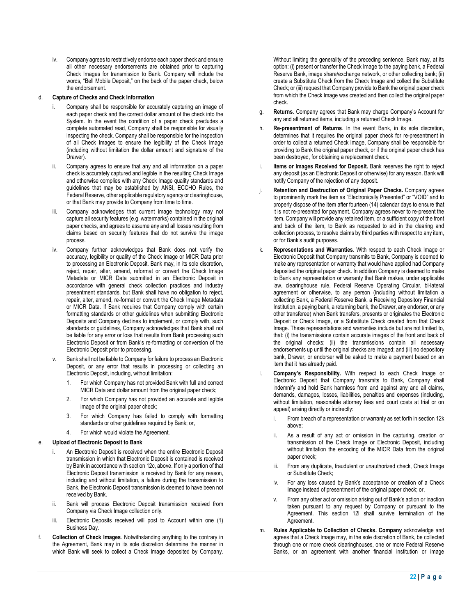iv. Company agrees to restrictively endorse each paper check and ensure all other necessary endorsements are obtained prior to capturing Check Images for transmission to Bank. Company will include the words, "Bell Mobile Deposit," on the back of the paper check, below the endorsement.

## d. **Capture of Checks and Check Information**

- Company shall be responsible for accurately capturing an image of each paper check and the correct dollar amount of the check into the System. In the event the condition of a paper check precludes a complete automated read, Company shall be responsible for visually inspecting the check. Company shall be responsible for the inspection of all Check Images to ensure the legibility of the Check Image (including without limitation the dollar amount and signature of the Drawer).
- ii. Company agrees to ensure that any and all information on a paper check is accurately captured and legible in the resulting Check Image and otherwise complies with any Check Image quality standards and guidelines that may be established by ANSI, ECCHO Rules, the Federal Reserve, other applicable regulatory agency or clearinghouse, or that Bank may provide to Company from time to time.
- Company acknowledges that current image technology may not capture all security features (e.g. watermarks) contained in the original paper checks, and agrees to assume any and all losses resulting from claims based on security features that do not survive the image process.
- iv. Company further acknowledges that Bank does not verify the accuracy, legibility or quality of the Check Image or MICR Data prior to processing an Electronic Deposit. Bank may, in its sole discretion, reject, repair, alter, amend, reformat or convert the Check Image Metadata or MICR Data submitted in an Electronic Deposit in accordance with general check collection practices and industry presentment standards, but Bank shall have no obligation to reject, repair, alter, amend, re-format or convert the Check Image Metadata or MICR Data. If Bank requires that Company comply with certain formatting standards or other guidelines when submitting Electronic Deposits and Company declines to implement, or comply with, such standards or guidelines, Company acknowledges that Bank shall not be liable for any error or loss that results from Bank processing such Electronic Deposit or from Bank's re-formatting or conversion of the Electronic Deposit prior to processing.
- Bank shall not be liable to Company for failure to process an Electronic Deposit, or any error that results in processing or collecting an Electronic Deposit, including, without limitation:
	- 1. For which Company has not provided Bank with full and correct MICR Data and dollar amount from the original paper check;
	- 2. For which Company has not provided an accurate and legible image of the original paper check;
	- 3. For which Company has failed to comply with formatting standards or other guidelines required by Bank; or,
	- 4. For which would violate the Agreement.

#### e. **Upload of Electronic Deposit to Bank**

- An Electronic Deposit is received when the entire Electronic Deposit transmission in which that Electronic Deposit is contained is received by Bank in accordance with section 12c, above. If only a portion of that Electronic Deposit transmission is received by Bank for any reason, including and without limitation, a failure during the transmission to Bank, the Electronic Deposit transmission is deemed to have been not received by Bank.
- ii. Bank will process Electronic Deposit transmission received from Company via Check Image collection only.
- iii. Electronic Deposits received will post to Account within one (1) Business Day.
- f. **Collection of Check Images**. Notwithstanding anything to the contrary in the Agreement, Bank may in its sole discretion determine the manner in which Bank will seek to collect a Check Image deposited by Company.

Without limiting the generality of the preceding sentence, Bank may, at its option: (i) present or transfer the Check Image to the paying bank, a Federal Reserve Bank, image share/exchange network, or other collecting bank; (ii) create a Substitute Check from the Check Image and collect the Substitute Check; or (iii) request that Company provide to Bank the original paper check from which the Check Image was created and then collect the original paper check.

- g. **Returns**. Company agrees that Bank may charge Company's Account for any and all returned items, including a returned Check Image.
- h. **Re-presentment of Returns**. In the event Bank, in its sole discretion, determines that it requires the original paper check for re-presentment in order to collect a returned Check Image, Company shall be responsible for providing to Bank the original paper check, or if the original paper check has been destroyed, for obtaining a replacement check.
- Items or Images Received for Deposit. Bank reserves the right to reject any deposit (as an Electronic Deposit or otherwise) for any reason. Bank will notify Company of the rejection of any deposit.
- j. **Retention and Destruction of Original Paper Checks.** Company agrees to prominently mark the item as "Electronically Presented" or "VOID" and to properly dispose of the item after fourteen (14) calendar days to ensure that it is not re-presented for payment. Company agrees never to re-present the item. Company will provide any retained item, or a sufficient copy of the front and back of the item, to Bank as requested to aid in the clearing and collection process, to resolve claims by third parties with respect to any item, or for Bank's audit purposes.
- k. **Representations and Warranties**. With respect to each Check Image or Electronic Deposit that Company transmits to Bank, Company is deemed to make any representation or warranty that would have applied had Company deposited the original paper check. In addition Company is deemed to make to Bank any representation or warranty that Bank makes, under applicable law, clearinghouse rule, Federal Reserve Operating Circular, bi-lateral agreement or otherwise, to any person (including without limitation a collecting Bank, a Federal Reserve Bank, a Receiving Depository Financial Institution, a paying bank, a returning bank, the Drawer, any endorser, or any other transferee) when Bank transfers, presents or originates the Electronic Deposit or Check Image, or a Substitute Check created from that Check Image. These representations and warranties include but are not limited to, that: (i) the transmissions contain accurate images of the front and back of the original checks; (ii) the transmissions contain all necessary endorsements up until the original checks are imaged; and (iii) no depository bank, Drawer, or endorser will be asked to make a payment based on an item that it has already paid.
- l. **Company's Responsibility.** With respect to each Check Image or Electronic Deposit that Company transmits to Bank, Company shall indemnify and hold Bank harmless from and against any and all claims, demands, damages, losses, liabilities, penalties and expenses (including, without limitation, reasonable attorney fees and court costs at trial or on appeal) arising directly or indirectly:
	- i. From breach of a representation or warranty as set forth in section 12k above;
	- ii. As a result of any act or omission in the capturing, creation or transmission of the Check Image or Electronic Deposit, including without limitation the encoding of the MICR Data from the original paper check;
	- iii. From any duplicate, fraudulent or unauthorized check, Check Image or Substitute Check;
	- iv. For any loss caused by Bank's acceptance or creation of a Check Image instead of presentment of the original paper check; or,
	- v. From any other act or omission arising out of Bank's action or inaction taken pursuant to any request by Company or pursuant to the Agreement. This section 12l shall survive termination of the Agreement.
- m. **Rules Applicable to Collection of Checks. Company** acknowledge and agrees that a Check Image may, in the sole discretion of Bank, be collected through one or more check clearinghouses, one or more Federal Reserve Banks, or an agreement with another financial institution or image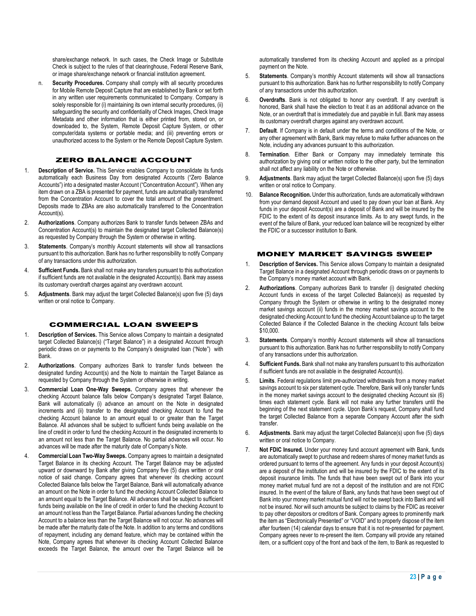share/exchange network. In such cases, the Check Image or Substitute Check is subject to the rules of that clearinghouse, Federal Reserve Bank, or image share/exchange network or financial institution agreement.

n. **Security Procedures.** Company shall comply with all security procedures for Mobile Remote Deposit Capture that are established by Bank or set forth in any written user requirements communicated to Company. Company is solely responsible for (i) maintaining its own internal security procedures, (ii) safeguarding the security and confidentiality of Check Images, Check Image Metadata and other information that is either printed from, stored on, or downloaded to, the System, Remote Deposit Capture System, or other computer/data systems or portable media; and (iii) preventing errors or unauthorized access to the System or the Remote Deposit Capture System.

# ZERO BALANCE ACCOUNT

- 1. **Description of Service.** This Service enables Company to consolidate its funds automatically each Business Day from designated Accounts ("Zero Balance Accounts") into a designated master Account ("Concentration Account"). When any item drawn on a ZBA is presented for payment, funds are automatically transferred from the Concentration Account to cover the total amount of the presentment. Deposits made to ZBAs are also automatically transferred to the Concentration Account(s).
- 2. **Authorizations**. Company authorizes Bank to transfer funds between ZBAs and Concentration Account(s) to maintain the designated target Collected Balance(s) as requested by Company through the System or otherwise in writing.
- 3. **Statements**. Company's monthly Account statements will show all transactions pursuant to this authorization. Bank has no further responsibility to notify Company of any transactions under this authorization.
- 4. **Sufficient Funds.** Bank shall not make any transfers pursuant to this authorization if sufficient funds are not available in the designated Account(s). Bank may assess its customary overdraft charges against any overdrawn account.
- 5. **Adjustments**. Bank may adjust the target Collected Balance(s) upon five (5) days written or oral notice to Company.

## COMMERCIAL LOAN SWEEPS

- 1. **Description of Services.** This Service allows Company to maintain a designated target Collected Balance(s) ("Target Balance") in a designated Account through periodic draws on or payments to the Company's designated loan ("Note") with Bank.
- 2. **Authorizations**. Company authorizes Bank to transfer funds between the designated funding Account(s) and the Note to maintain the Target Balance as requested by Company through the System or otherwise in writing.
- 3. **Commercial Loan One-Way Sweeps.** Company agrees that whenever the checking Account balance falls below Company's designated Target Balance, Bank will automatically (i) advance an amount on the Note in designated increments and (ii) transfer to the designated checking Account to fund the checking Account balance to an amount equal to or greater than the Target Balance. All advances shall be subject to sufficient funds being available on the line of credit in order to fund the checking Account in the designated increments to an amount not less than the Target Balance. No partial advances will occur. No advances will be made after the maturity date of Company's Note.
- 4. **Commercial Loan Two-Way Sweeps.** Company agrees to maintain a designated Target Balance in its checking Account. The Target Balance may be adjusted upward or downward by Bank after giving Company five (5) days written or oral notice of said change. Company agrees that whenever its checking account Collected Balance falls below the Target Balance, Bank will automatically advance an amount on the Note in order to fund the checking Account Collected Balance to an amount equal to the Target Balance. All advances shall be subject to sufficient funds being available on the line of credit in order to fund the checking Account to an amount not less than the Target Balance. Partial advances funding the checking Account to a balance less than the Target Balance will not occur. No advances will be made after the maturity date of the Note. In addition to any terms and conditions of repayment, including any demand feature, which may be contained within the Note, Company agrees that whenever its checking Account Collected Balance exceeds the Target Balance, the amount over the Target Balance will be

automatically transferred from its checking Account and applied as a principal payment on the Note.

- 5. **Statements**. Company's monthly Account statements will show all transactions pursuant to this authorization. Bank has no further responsibility to notify Company of any transactions under this authorization.
- 6. **Overdrafts**. Bank is not obligated to honor any overdraft. If any overdraft is honored, Bank shall have the election to treat it as an additional advance on the Note, or an overdraft that is immediately due and payable in full. Bank may assess its customary overdraft charges against any overdrawn account.
- 7. **Default**. If Company is in default under the terms and conditions of the Note, or any other agreement with Bank, Bank may refuse to make further advances on the Note, including any advances pursuant to this authorization.
- 8. **Termination**. Either Bank or Company may immediately terminate this authorization by giving oral or written notice to the other party, but the termination shall not affect any liability on the Note or otherwise.
- 9. **Adjustments**. Bank may adjust the target Collected Balance(s) upon five (5) days written or oral notice to Company.
- 10. **Balance Recognition.** Under this authorization, funds are automatically withdrawn from your demand deposit Account and used to pay down your loan at Bank. Any funds in your deposit Account(s) are a deposit of Bank and will be insured by the FDIC to the extent of its deposit insurance limits. As to any swept funds, in the event of the failure of Bank, your reduced loan balance will be recognized by either the FDIC or a successor institution to Bank.

# MONEY MARKET SAVINGS SWEEP

- 1. **Description of Services.** This Service allows Company to maintain a designated Target Balance in a designated Account through periodic draws on or payments to the Company's money market account with Bank.
- 2. **Authorizations**. Company authorizes Bank to transfer (i) designated checking Account funds in excess of the target Collected Balance(s) as requested by Company through the System or otherwise in writing to the designated money market savings account (ii) funds in the money market savings account to the designated checking Account to fund the checking Account balance up to the target Collected Balance if the Collected Balance in the checking Account falls below \$10,000.
- 3. **Statements**. Company's monthly Account statements will show all transactions pursuant to this authorization. Bank has no further responsibility to notify Company of any transactions under this authorization.
- 4. **Sufficient Funds.** Bank shall not make any transfers pursuant to this authorization if sufficient funds are not available in the designated Account(s).
- 5. **Limits**. Federal regulations limit pre-authorized withdrawals from a money market savings account to six per statement cycle. Therefore, Bank will only transfer funds in the money market savings account to the designated checking Account six (6) times each statement cycle. Bank will not make any further transfers until the beginning of the next statement cycle. Upon Bank's request, Company shall fund the target Collected Balance from a separate Company Account after the sixth transfer.
- 6. **Adjustments**. Bank may adjust the target Collected Balance(s) upon five (5) days written or oral notice to Company.
- 7. **Not FDIC Insured.** Under your money fund account agreement with Bank, funds are automatically swept to purchase and redeem shares of money market funds as ordered pursuant to terms of the agreement. Any funds in your deposit Account(s) are a deposit of the institution and will be insured by the FDIC to the extent of its deposit insurance limits. The funds that have been swept out of Bank into your money market mutual fund are not a deposit of the institution and are not FDIC insured. In the event of the failure of Bank, any funds that have been swept out of Bank into your money market mutual fund will not be swept back into Bank and will not be insured. Nor will such amounts be subject to claims by the FDIC as receiver to pay other depositors or creditors of Bank. Company agrees to prominently mark the item as "Electronically Presented" or "VOID" and to properly dispose of the item after fourteen (14) calendar days to ensure that it is not re-presented for payment. Company agrees never to re-present the item. Company will provide any retained item, or a sufficient copy of the front and back of the item, to Bank as requested to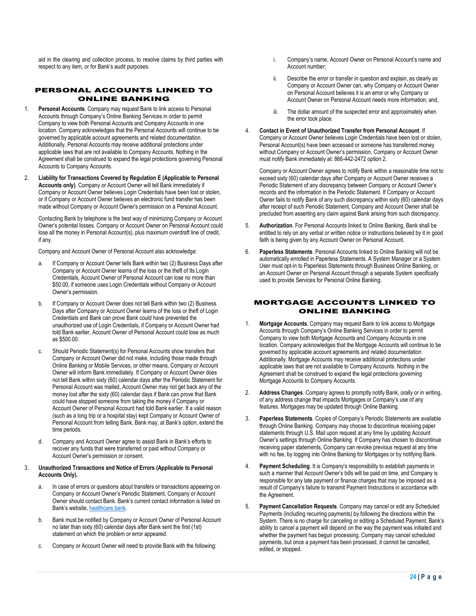aid in the clearing and collection process, to resolve claims by third parties with respect to any item, or for Bank's audit purposes.

# PERSONAL ACCOUNTS LINKED TO ONLINE BANKING

- 1. **Personal Accounts**. Company may request Bank to link access to Personal Accounts through Company's Online Banking Services in order to permit Company to view both Personal Accounts and Company Accounts in one location. Company acknowledges that the Personal Accounts will continue to be governed by applicable account agreements and related documentation. Additionally, Personal Accounts may receive additional protections under applicable laws that are not available to Company Accounts. Nothing in the Agreement shall be construed to expand the legal protections governing Personal Accounts to Company Accounts.
- 2. **Liability for Transactions Covered by Regulation E (Applicable to Personal Accounts only)**. Company or Account Owner will tell Bank immediately if Company or Account Owner believes Login Credentials have been lost or stolen, or if Company or Account Owner believes an electronic fund transfer has been made without Company or Account Owner's permission on a Personal Account.

Contacting Bank by telephone is the best way of minimizing Company or Account Owner's potential losses. Company or Account Owner on Personal Account could lose all the money in Personal Account(s), plus maximum overdraft line of credit, if any.

Company and Account Owner of Personal Account also acknowledge:

- a. If Company or Account Owner tells Bank within two (2) Business Days after Company or Account Owner learns of the loss or the theft of Its Login Credentials, Account Owner of Personal Account can lose no more than \$50.00, if someone uses Login Credentials without Company or Account Owner's permission.
- b. If Company or Account Owner does not tell Bank within two (2) Business Days after Company or Account Owner learns of the loss or theft of Login Credentials and Bank can prove Bank could have prevented the unauthorized use of Login Credentials, if Company or Account Owner had told Bank earlier, Account Owner of Personal Account could lose as much as \$500.00.
- c. Should Periodic Statement(s) for Personal Accounts show transfers that Company or Account Owner did not make, including those made through Online Banking or Mobile Services, or other means, Company or Account Owner will inform Bank immediately. If Company or Account Owner does not tell Bank within sixty (60) calendar days after the Periodic Statement for Personal Account was mailed, Account Owner may not get back any of the money lost after the sixty (60) calendar days if Bank can prove that Bank could have stopped someone from taking the money if Company or Account Owner of Personal Account had told Bank earlier. If a valid reason (such as a long trip or a hospital stay) kept Company or Account Owner of Personal Account from telling Bank, Bank may, at Bank's option, extend the time periods.
- Company and Account Owner agree to assist Bank in Bank's efforts to recover any funds that were transferred or paid without Company or Account Owner's permission or consent.

# 3. **Unauthorized Transactions and Notice of Errors (Applicable to Personal Accounts Only).**

- a. In case of errors or questions about transfers or transactions appearing on Company or Account Owner's Periodic Statement, Company or Account Owner should contact Bank. Bank's current contact information is listed on Bank's website, healthcare.bank.
- b. Bank must be notified by Company or Account Owner of Personal Account no later than sixty (60) calendar days after Bank sent the first (1st) statement on which the problem or error appeared.
- c. Company or Account Owner will need to provide Bank with the following:
- i. Company's name, Account Owner on Personal Account's name and Account number;
- ii. Describe the error or transfer in question and explain, as clearly as Company or Account Owner can, why Company or Account Owner on Personal Account believes it is an error or why Company or Account Owner on Personal Account needs more information; and,
- iii. The dollar amount of the suspected error and approximately when the error took place.
- 4. **Contact in Event of Unauthorized Transfer from Personal Account**. If Company or Account Owner believes Login Credentials have been lost or stolen, Personal Account(s) have been accessed or someone has transferred money without Company or Account Owner's permission, Company or Account Owner must notify Bank immediately at: 866-442-2472 option 2.

Company or Account Owner agrees to notify Bank within a reasonable time not to exceed sixty (60) calendar days after Company or Account Owner receives a Periodic Statement of any discrepancy between Company or Account Owner's records and the information in the Periodic Statement. If Company or Account Owner fails to notify Bank of any such discrepancy within sixty (60) calendar days after receipt of such Periodic Statement, Company and Account Owner shall be precluded from asserting any claim against Bank arising from such discrepancy.

- 5. **Authorization**. For Personal Accounts linked to Online Banking, Bank shall be entitled to rely on any verbal or written notice or instructions believed by it in good faith is being given by any Account Owner on Personal Account.
- 6. **Paperless Statements**. Personal Accounts linked to Online Banking will not be automatically enrolled in Paperless Statements. A System Manager or a System User must opt-in to Paperless Statements through Business Online Banking, or an Account Owner on Personal Account through a separate System specifically used to provide Services for Personal Online Banking.

# MORTGAGE ACCOUNTS LINKED TO ONLINE BANKING

- 1. **Mortgage Accounts**. Company may request Bank to link access to Mortgage Accounts through Company's Online Banking Services in order to permit Company to view both Mortgage Accounts and Company Accounts in one location. Company acknowledges that the Mortgage Accounts will continue to be governed by applicable account agreements and related documentation. Additionally, Mortgage Accounts may receive additional protections under applicable laws that are not available to Company Accounts. Nothing in the Agreement shall be construed to expand the legal protections governing Mortgage Accounts to Company Accounts.
- 2. **Address Changes**. Company agrees to promptly notify Bank, orally or in writing, of any address change that impacts Mortgages or Company's use of any features. Mortgages may be updated through Online Banking.
- 3. **Paperless Statements**. Copies of Company's Periodic Statements are available through Online Banking. Company may choose to discontinue receiving paper statements through U.S. Mail upon request at any time by updating Account Owner's settings through Online Banking. If Company has chosen to discontinue receiving paper statements, Company can revoke previous request at any time with no fee, by logging into Online Banking for Mortgages or by notifying Bank.
- Payment Scheduling. It is Company's responsibility to establish payments in such a manner that Account Owner's bills will be paid on time, and Company is responsible for any late payment or finance charges that may be imposed as a result of Company's failure to transmit Payment Instructions in accordance with the Agreement.
- 5. **Payment Cancellation Requests**. Company may cancel or edit any Scheduled Payments (including recurring payments) by following the directions within the System. There is no charge for canceling or editing a Scheduled Payment. Bank's ability to cancel a payment will depend on the way the payment was initiated and whether the payment has begun processing. Company may cancel scheduled payments, but once a payment has been processed, it cannot be cancelled, edited, or stopped.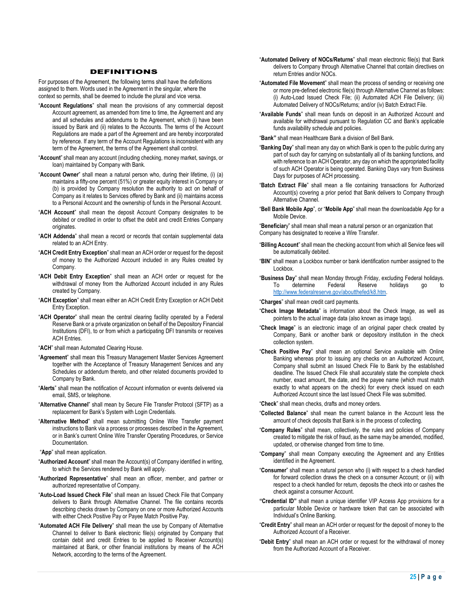#### DEFINITIONS

For purposes of the Agreement, the following terms shall have the definitions assigned to them. Words used in the Agreement in the singular, where the context so permits, shall be deemed to include the plural and vice versa.

- "**Account Regulations**" shall mean the provisions of any commercial deposit Account agreement, as amended from time to time, the Agreement and any and all schedules and addendums to the Agreement, which (i) have been issued by Bank and (ii) relates to the Accounts. The terms of the Account Regulations are made a part of the Agreement and are hereby incorporated by reference. If any term of the Account Regulations is inconsistent with any term of the Agreement, the terms of the Agreement shall control.
- "**Account**" shall mean any account (including checking, money market, savings, or loan) maintained by Company with Bank.
- "**Account Owner**" shall mean a natural person who, during their lifetime, (i) (a) maintains a fifty-one percent (51%) or greater equity interest in Company or (b) is provided by Company resolution the authority to act on behalf of Company as it relates to Services offered by Bank and (ii) maintains access to a Personal Account and the ownership of funds in the Personal Account.
- "**ACH Account**" shall mean the deposit Account Company designates to be debited or credited in order to offset the debit and credit Entries Company originates
- "**ACH Addenda**" shall mean a record or records that contain supplemental data related to an ACH Entry.
- "**ACH Credit Entry Exception**" shall mean an ACH order or request for the deposit of money to the Authorized Account included in any Rules created by Company.
- "**ACH Debit Entry Exception**" shall mean an ACH order or request for the withdrawal of money from the Authorized Account included in any Rules created by Company.
- "**ACH Exception**" shall mean either an ACH Credit Entry Exception or ACH Debit Entry Exception.
- "**ACH Operator**" shall mean the central clearing facility operated by a Federal Reserve Bank or a private organization on behalf of the Depository Financial Institutions (DFI), to or from which a participating DFI transmits or receives ACH Entries.
- "**ACH**" shall mean Automated Clearing House.
- "**Agreement**" shall mean this Treasury Management Master Services Agreement together with the Acceptance of Treasury Management Services and any Schedules or addendum thereto, and other related documents provided to Company by Bank.
- "**Alerts**" shall mean the notification of Account information or events delivered via email, SMS, or telephone.
- "**Alternative Channel**" shall mean by Secure File Transfer Protocol (SFTP) as a replacement for Bank's System with Login Credentials.
- "**Alternative Method**" shall mean submitting Online Wire Transfer payment instructions to Bank via a process or processes described in the Agreement, or in Bank's current Online Wire Transfer Operating Procedures, or Service **Documentation**
- "**App**" shall mean application.
- "**Authorized Account**" shall mean the Account(s) of Company identified in writing, to which the Services rendered by Bank will apply.
- "**Authorized Representative**" shall mean an officer, member, and partner or authorized representative of Company.
- "**Auto-Load Issued Check File**" shall mean an Issued Check File that Company delivers to Bank through Alternative Channel. The file contains records describing checks drawn by Company on one or more Authorized Accounts with either Check Positive Pay or Payee Match Positive Pay.
- "**Automated ACH File Delivery**" shall mean the use by Company of Alternative Channel to deliver to Bank electronic file(s) originated by Company that contain debit and credit Entries to be applied to Receiver Account(s) maintained at Bank, or other financial institutions by means of the ACH Network, according to the terms of the Agreement.
- "**Automated Delivery of NOCs/Returns**" shall mean electronic file(s) that Bank delivers to Company through Alternative Channel that contain directives on return Entries and/or NOCs.
- "**Automated File Movement**" shall mean the process of sending or receiving one or more pre-defined electronic file(s) through Alternative Channel as follows: (i) Auto-Load Issued Check File; (ii) Automated ACH File Delivery; (iii) Automated Delivery of NOCs/Returns; and/or (iv) Batch Extract File.
- "**Available Funds**" shall mean funds on deposit in an Authorized Account and available for withdrawal pursuant to Regulation CC and Bank's applicable funds availability schedule and policies.
- "**Bank"** shall mean Healthcare Bank a division of Bell Bank.
- "**Banking Day**" shall mean any day on which Bank is open to the public during any part of such day for carrying on substantially all of its banking functions, and with reference to an ACH Operator, any day on which the appropriated facility of such ACH Operator is being operated. Banking Days vary from Business Days for purposes of ACH processing.
- "**Batch Extract File**" shall mean a file containing transactions for Authorized Account(s) covering a prior period that Bank delivers to Company through Alternative Channel.
- "**Bell Bank Mobile App**", or "**Mobile App**" shall mean the downloadable App for a Mobile Device.

"**Beneficiar**y" shall mean shall mean a natural person or an organization that Company has designated to receive a Wire Transfer.

- "**Billing Account**" shall mean the checking account from which all Service fees will be automatically debited.
- "**BIN**" shall mean a Lockbox number or bank identification number assigned to the Lockbox.
- "**Business Day**" shall mean Monday through Friday, excluding Federal holidays. To determine Federal Reserve holidays go to http://www.federalreserve.gov/aboutthefed/k8.htm.

"**Charges**" shall mean credit card payments.

- "**Check Image Metadata**" is information about the Check Image, as well as pointers to the actual image data (also known as image tags).
- "**Check Image**" is an electronic image of an original paper check created by Company, Bank or another bank or depository institution in the check collection system.
- "**Check Positive Pay**" shall mean an optional Service available with Online Banking whereas prior to issuing any checks on an Authorized Account, Company shall submit an Issued Check File to Bank by the established deadline. The Issued Check File shall accurately state the complete check number, exact amount, the date, and the payee name (which must match exactly to what appears on the check) for every check issued on each Authorized Account since the last Issued Check File was submitted.
- "**Check**" shall mean checks, drafts and money orders.
- "**Collected Balance**" shall mean the current balance in the Account less the amount of check deposits that Bank is in the process of collecting.
- "**Company Rules**" shall mean, collectively, the rules and policies of Company created to mitigate the risk of fraud, as the same may be amended, modified, updated, or otherwise changed from time to time.
- "**Company**" shall mean Company executing the Agreement and any Entities identified in the Agreement.
- "**Consumer**" shall mean a natural person who (i) with respect to a check handled for forward collection draws the check on a consumer Account; or (ii) with respect to a check handled for return, deposits the check into or cashes the check against a consumer Account.
- **"Credential ID"** shall mean a unique identifier VIP Access App provisions for a particular Mobile Device or hardware token that can be associated with Individual's Online Banking.
- "**Credit Entry**" shall mean an ACH order or request for the deposit of money to the Authorized Account of a Receiver.
- "**Debit Entry**" shall mean an ACH order or request for the withdrawal of money from the Authorized Account of a Receiver.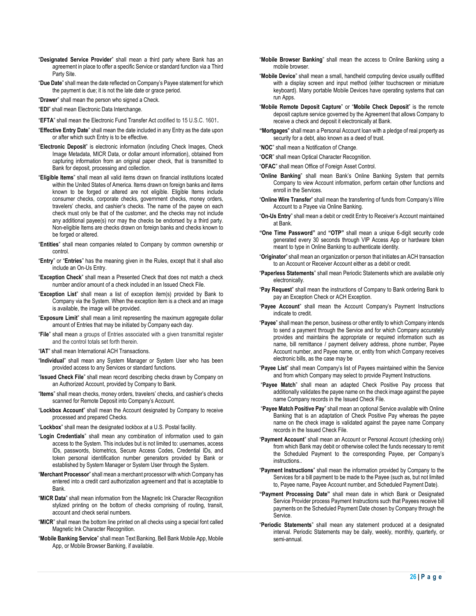- "**Designated Service Provider**" shall mean a third party where Bank has an agreement in place to offer a specific Service or standard function via a Third Party Site.
- "**Due Date**" shall mean the date reflected on Company's Payee statement for which the payment is due; it is not the late date or grace period.
- "**Drawer**" shall mean the person who signed a Check.
- "**EDI**" shall mean Electronic Data Interchange.
- "**EFTA**" shall mean the Electronic Fund Transfer Act *c*odified to 15 U.S.C. 1601.
- "**Effective Entry Date**" shall mean the date included in any Entry as the date upon or after which such Entry is to be effective.
- "**Electronic Deposit**" is electronic information (including Check Images, Check Image Metadata, MICR Data, or dollar amount information), obtained from capturing information from an original paper check, that is transmitted to Bank for deposit, processing and collection.
- "**Eligible Items**" shall mean all valid items drawn on financial institutions located within the United States of America. Items drawn on foreign banks and items known to be forged or altered are not eligible. Eligible Items include consumer checks, corporate checks, government checks, money orders, travelers' checks, and cashier's checks. The name of the payee on each check must only be that of the customer, and the checks may not include any additional payee(s) nor may the checks be endorsed by a third party. Non-eligible Items are checks drawn on foreign banks and checks known to be forged or altered.
- "**Entities**" shall mean companies related to Company by common ownership or control.
- "**Entry**" or "**Entries**" has the meaning given in the Rules, except that it shall also include an On-Us Entry.
- "**Exception Check**" shall mean a Presented Check that does not match a check number and/or amount of a check included in an Issued Check File.
- "**Exception List**" shall mean a list of exception item(s) provided by Bank to Company via the System. When the exception item is a check and an image is available, the image will be provided.
- "**Exposure Limit**" shall mean a limit representing the maximum aggregate dollar amount of Entries that may be initiated by Company each day.
- "**File**" shall mean a groups of Entries associated with a given transmittal register and the control totals set forth therein.
- "**IAT**" shall mean International ACH Transactions.
- "**Individual**" shall mean any System Manager or System User who has been provided access to any Services or standard functions.
- "**Issued Check File**" shall mean record describing checks drawn by Company on an Authorized Account, provided by Company to Bank.
- "**Items**" shall mean checks, money orders, travelers' checks, and cashier's checks scanned for Remote Deposit into Company's Account.
- "**Lockbox Account**" shall mean the Account designated by Company to receive processed and prepared Checks.
- "**Lockbox**" shall mean the designated lockbox at a U.S. Postal facility.
- "**Login Credentials**" shall mean any combination of information used to gain access to the System. This includes but is not limited to: usernames, access IDs, passwords, biometrics, Secure Access Codes, Credential IDs, and token personal identification number generators provided by Bank or established by System Manager or System User through the System.
- "**Merchant Processor**" shall mean a merchant processor with which Company has entered into a credit card authorization agreement and that is acceptable to Bank.
- "**MICR Data**" shall mean information from the Magnetic Ink Character Recognition stylized printing on the bottom of checks comprising of routing, transit, account and check serial numbers.
- "**MICR**" shall mean the bottom line printed on all checks using a special font called Magnetic Ink Character Recognition.
- "**Mobile Banking Service**" shall mean Text Banking, Bell Bank Mobile App, Mobile App, or Mobile Browser Banking, if available.
- "**Mobile Browser Banking**" shall mean the access to Online Banking using a mobile browser.
- "**Mobile Device**" shall mean a small, handheld computing device usually outfitted with a display screen and input method (either touchscreen or miniature keyboard). Many portable Mobile Devices have operating systems that can run Apps.
- "**Mobile Remote Deposit Capture**" or "**Mobile Check Deposit**" is the remote deposit capture service governed by the Agreement that allows Company to receive a check and deposit it electronically at Bank.
- **"Mortgages**" shall mean a Personal Account loan with a pledge of real property as security for a debt, also known as a deed of trust.

"**NOC**" shall mean a Notification of Change.

- "**OCR**" shall mean Optical Character Recognition.
- "**OFAC**" shall mean Office of Foreign Asset Control.
- "**Online Banking**" shall mean Bank's Online Banking System that permits Company to view Account information, perform certain other functions and enroll in the Services.
- "**Online Wire Transfer**" shall mean the transferring of funds from Company's Wire Account to a Payee via Online Banking.
- "**On-Us Entry**" shall mean a debit or credit Entry to Receiver's Account maintained at Bank.
- **"One Time Password"** and **"OTP"** shall mean a unique 6-digit security code generated every 30 seconds through VIP Access App or hardware token meant to type in Online Banking to authenticate identity.
- "**Originator**" shall mean an organization or person that initiates an ACH transaction to an Account or Receiver Account either as a debit or credit.
- "**Paperless Statements**" shall mean Periodic Statements which are available only electronically.
- "**Pay Request**" shall mean the instructions of Company to Bank ordering Bank to pay an Exception Check or ACH Exception.
- "**Payee Account**" shall mean the Account Company's Payment Instructions indicate to credit.
- "**Payee**" shall mean the person, business or other entity to which Company intends to send a payment through the Service and for which Company accurately provides and maintains the appropriate or required information such as name, bill remittance / payment delivery address, phone number, Payee Account number, and Payee name, or, entity from which Company receives electronic bills, as the case may be
- "**Payee List**" shall mean Company's list of Payees maintained within the Service and from which Company may select to provide Payment Instructions.
- "**Payee Match**" shall mean an adapted Check Positive Pay process that additionally validates the payee name on the check image against the payee name Company records in the Issued Check File.
- "**Payee Match Positive Pay**" shall mean an optional Service available with Online Banking that is an adaptation of Check Positive Pay whereas the payee name on the check image is validated against the payee name Company records in the Issued Check File.
- "**Payment Account**" shall mean an Account or Personal Account (checking only) from which Bank may debit or otherwise collect the funds necessary to remit the Scheduled Payment to the corresponding Payee, per Company's instructions..
- "**Payment Instructions**" shall mean the information provided by Company to the Services for a bill payment to be made to the Payee (such as, but not limited to, Payee name, Payee Account number, and Scheduled Payment Date).
- **"Payment Processing Date"** shall mean date in which Bank or Designated Service Provider process Payment Instructions such that Payees receive bill payments on the Scheduled Payment Date chosen by Company through the Service.
- "**Periodic Statements**" shall mean any statement produced at a designated interval. Periodic Statements may be daily, weekly, monthly, quarterly, or semi-annual.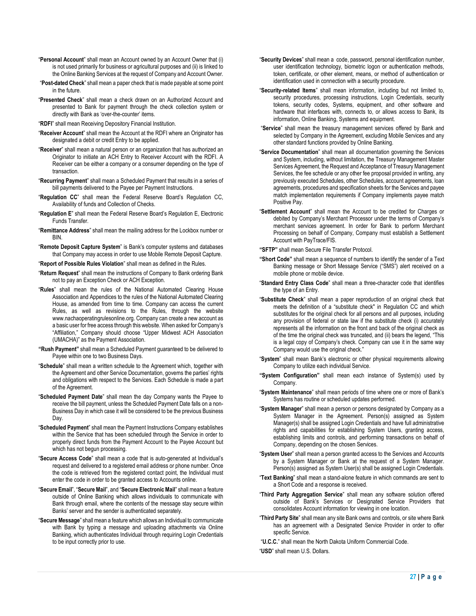- "**Personal Account**" shall mean an Account owned by an Account Owner that (i) is not used primarily for business or agricultural purposes and (ii) is linked to the Online Banking Services at the request of Company and Account Owner.
- "**Post-dated Check**" shall mean a paper check that is made payable at some point in the future.
- "**Presented Check**" shall mean a check drawn on an Authorized Account and presented to Bank for payment through the check collection system or directly with Bank as 'over-the-counter' items.
- "**RDFI**" shall mean Receiving Depository Financial Institution.
- "**Receiver Account**" shall mean the Account at the RDFI where an Originator has designated a debit or credit Entry to be applied.
- "**Receiver**" shall mean a natural person or an organization that has authorized an Originator to initiate an ACH Entry to Receiver Account with the RDFI. A Receiver can be either a company or a consumer depending on the type of transaction.
- "**Recurring Payment**" shall mean a Scheduled Payment that results in a series of bill payments delivered to the Payee per Payment Instructions.
- "**Regulation CC**" shall mean the Federal Reserve Board's Regulation CC, Availability of funds and Collection of Checks.
- "**Regulation E**" shall mean the Federal Reserve Board's Regulation E, Electronic Funds Transfer.
- "**Remittance Address**" shall mean the mailing address for the Lockbox number or **RIN.**
- "**Remote Deposit Capture System**" is Bank's computer systems and databases that Company may access in order to use Mobile Remote Deposit Capture.
- "**Report of Possible Rules Violation**" shall mean as defined in the Rules.
- "**Return Request**" shall mean the instructions of Company to Bank ordering Bank not to pay an Exception Check or ACH Exception.
- "**Rules**" shall mean the rules of the National Automated Clearing House Association and Appendices to the rules of the National Automated Clearing House, as amended from time to time. Company can access the current Rules, as well as revisions to the Rules, through the website www.nachaoperatingrulesonline.org. Company can create a new account as a basic user for free access through this website. When asked for Company's "Affiliation," Company should choose "Upper Midwest ACH Association (UMACHA)" as the Payment Association.
- **"Rush Payment"** shall mean a Scheduled Payment guaranteed to be delivered to Payee within one to two Business Days.
- "**Schedule**" shall mean a written schedule to the Agreement which, together with the Agreement and other Service Documentation, governs the parties' rights and obligations with respect to the Services. Each Schedule is made a part of the Agreement.
- "**Scheduled Payment Date**" shall mean the day Company wants the Payee to receive the bill payment, unless the Scheduled Payment Date falls on a non-Business Day in which case it will be considered to be the previous Business Day.
- "**Scheduled Payment**" shall mean the Payment Instructions Company establishes within the Service that has been scheduled through the Service in order to properly direct funds from the Payment Account to the Payee Account but which has not begun processing.
- "**Secure Access Code**" shall mean a code that is auto-generated at Individual's request and delivered to a registered email address or phone number. Once the code is retrieved from the registered contact point, the Individual must enter the code in order to be granted access to Accounts online.
- "**Secure Email**", "**Secure Mail**", and "**Secure Electronic Mail**" shall mean a feature outside of Online Banking which allows individuals to communicate with Bank through email, where the contents of the message stay secure within Banks' server and the sender is authenticated separately.
- "**Secure Message**" shall mean a feature which allows an Individual to communicate with Bank by typing a message and uploading attachments via Online Banking, which authenticates Individual through requiring Login Credentials to be input correctly prior to use.
- "**Security Devices**" shall mean a code, password, personal identification number, user identification technology, biometric logon or authentication methods, token, certificate, or other element, means, or method of authentication or identification used in connection with a security procedure.
- "**Security-related Items**" shall mean information, including but not limited to, security procedures, processing instructions, Login Credentials, security tokens, security codes, Systems, equipment, and other software and hardware that interfaces with, connects to, or allows access to Bank, its information, Online Banking, Systems and equipment.
- "**Service**" shall mean the treasury management services offered by Bank and selected by Company in the Agreement, excluding Mobile Services and any other standard functions provided by Online Banking.
- "**Service Documentation**" shall mean all documentation governing the Services and System, including, without limitation, the Treasury Management Master Services Agreement, the Request and Acceptance of Treasury Management Services, the fee schedule or any other fee proposal provided in writing, any previously executed Schedules, other Schedules, account agreements, loan agreements, procedures and specification sheets for the Services and payee match implementation requirements if Company implements payee match Positive Pay.
- "**Settlement Account**" shall mean the Account to be credited for Charges or debited by Company's Merchant Processor under the terms of Company's merchant services agreement. In order for Bank to perform Merchant Processing on behalf of Company, Company must establish a Settlement Account with PayTrace/FIS.

**"SFTP"** shall mean Secure File Transfer Protocol.

- **"Short Code"** shall mean a sequence of numbers to identify the sender of a Text Banking message or Short Message Service ("SMS") alert received on a mobile phone or mobile device.
- "**Standard Entry Class Code**" shall mean a three-character code that identifies the type of an Entry.
- "**Substitute Check**" shall mean a paper reproduction of an original check that meets the definition of a "substitute check" in Regulation CC and which substitutes for the original check for all persons and all purposes, including any provision of federal or state law if the substitute check (i) accurately represents all the information on the front and back of the original check as of the time the original check was truncated, and (ii) bears the legend, "This is a legal copy of Company's check. Company can use it in the same way Company would use the original check."
- "**System**" shall mean Bank's electronic or other physical requirements allowing Company to utilize each individual Service.
- **"System Configuration"** shall mean each instance of System(s) used by Company.
- "**System Maintenance**" shall mean periods of time where one or more of Bank's Systems has routine or scheduled updates performed.
- "**System Manager**" shall mean a person or persons designated by Company as a System Manager in the Agreement. Person(s) assigned as System Manager(s) shall be assigned Login Credentials and have full administrative rights and capabilities for establishing System Users, granting access, establishing limits and controls, and performing transactions on behalf of Company, depending on the chosen Services.
- "**System User**" shall mean a person granted access to the Services and Accounts by a System Manager or Bank at the request of a System Manager. Person(s) assigned as System User(s) shall be assigned Login Credentials.
- "**Text Banking**" shall mean a stand-alone feature in which commands are sent to a Short Code and a response is received.
- "**Third Party Aggregation Service**" shall mean any software solution offered outside of Bank's Services or Designated Service Providers that consolidates Account information for viewing in one location.
- "**Third Party Site**" shall mean any site Bank owns and controls, or site where Bank has an agreement with a Designated Service Provider in order to offer specific Service.
- "**U.C.C.**" shall mean the North Dakota Uniform Commercial Code.
- "**USD**" shall mean U.S. Dollars.